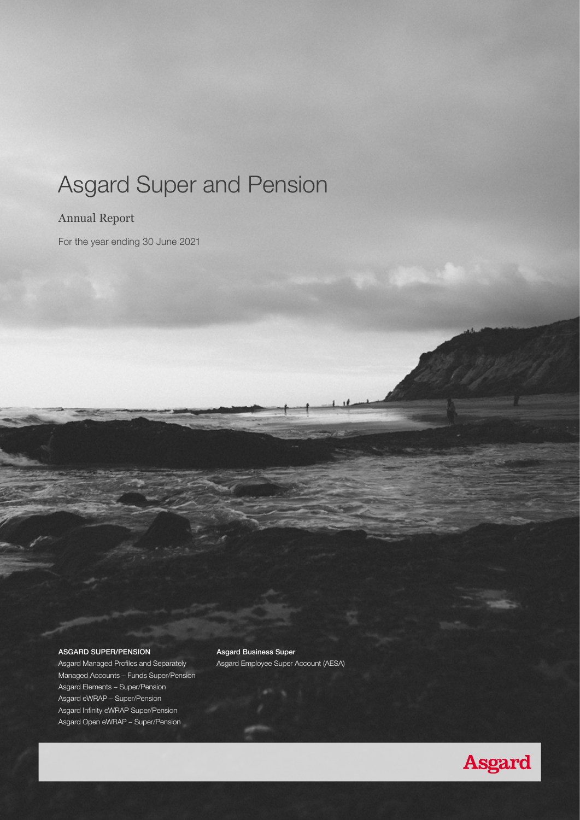# Asgard Super and Pension

# Annual Report

For the year ending 30 June 2021

#### ASGARD SUPER/PENSION

Asgard Managed Profiles and Separately Managed Accounts – Funds Super/Pension Asgard Elements – Super/Pension Asgard eWRAP – Super/Pension Asgard Infinity eWRAP Super/Pension Asgard Open eWRAP – Super/Pension

Asgard Business Super Asgard Employee Super Account (AESA)

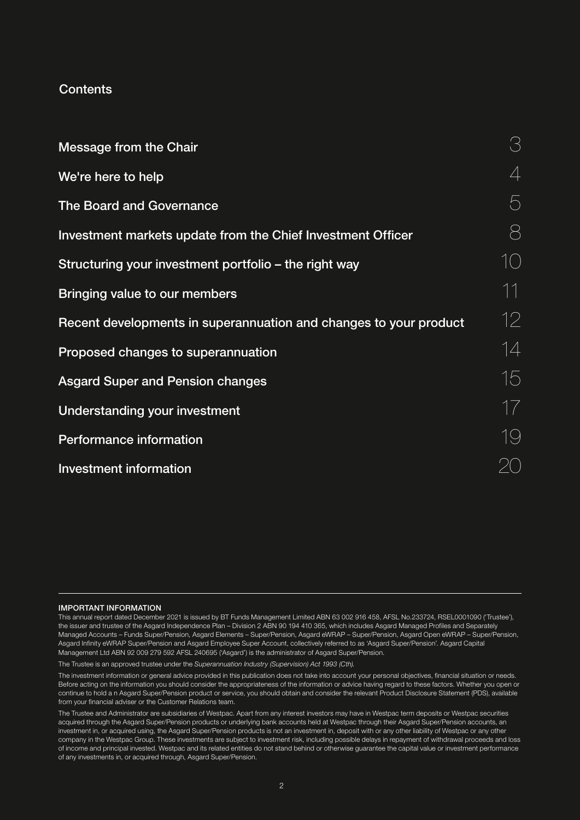# **Contents**

| <b>Message from the Chair</b>                                     | 3              |
|-------------------------------------------------------------------|----------------|
| We're here to help                                                | $\overline{4}$ |
| <b>The Board and Governance</b>                                   | 5              |
| Investment markets update from the Chief Investment Officer       | 8              |
| Structuring your investment portfolio - the right way             | 1C             |
| Bringing value to our members                                     | 11             |
| Recent developments in superannuation and changes to your product | 12             |
| Proposed changes to superannuation                                | 14             |
| <b>Asgard Super and Pension changes</b>                           | 15             |
| Understanding your investment                                     | 17             |
| Performance information                                           | 19             |
| <b>Investment information</b>                                     |                |

#### IMPORTANT INFORMATION

The Trustee is an approved trustee under the *Superannuation Industry (Supervision) Act 1993 (Cth).*

This annual report dated December 2021 is issued by BT Funds Management Limited ABN 63 002 916 458, AFSL No.233724, RSEL0001090 ('Trustee'), the issuer and trustee of the Asgard Independence Plan – Division 2 ABN 90 194 410 365, which includes Asgard Managed Profiles and Separately Managed Accounts – Funds Super/Pension, Asgard Elements – Super/Pension, Asgard eWRAP – Super/Pension, Asgard Open eWRAP – Super/Pension, Asgard Infinity eWRAP Super/Pension and Asgard Employee Super Account, collectively referred to as 'Asgard Super/Pension'. Asgard Capital Management Ltd ABN 92 009 279 592 AFSL 240695 ('Asgard') is the administrator of Asgard Super/Pension.

The investment information or general advice provided in this publication does not take into account your personal objectives, financial situation or needs. Before acting on the information you should consider the appropriateness of the information or advice having regard to these factors. Whether you open or continue to hold a n Asgard Super/Pension product or service, you should obtain and consider the relevant Product Disclosure Statement (PDS), available from your financial adviser or the Customer Relations team.

The Trustee and Administrator are subsidiaries of Westpac. Apart from any interest investors may have in Westpac term deposits or Westpac securities acquired through the Asgard Super/Pension products or underlying bank accounts held at Westpac through their Asgard Super/Pension accounts, an investment in, or acquired using, the Asgard Super/Pension products is not an investment in, deposit with or any other liability of Westpac or any other company in the Westpac Group. These investments are subject to investment risk, including possible delays in repayment of withdrawal proceeds and loss of income and principal invested. Westpac and its related entities do not stand behind or otherwise guarantee the capital value or investment performance of any investments in, or acquired through, Asgard Super/Pension.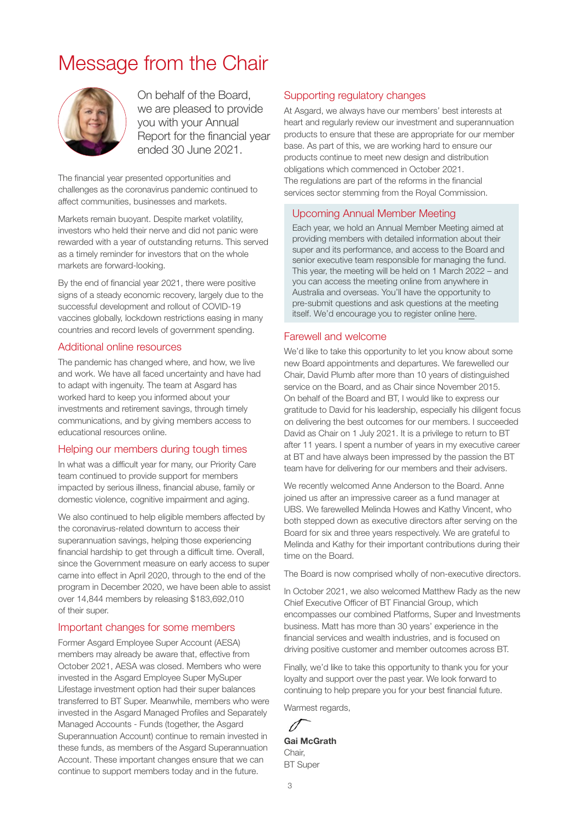# <span id="page-2-0"></span>Message from the Chair



On behalf of the Board, we are pleased to provide you with your Annual Report for the financial year ended 30 June 2021.

The financial year presented opportunities and challenges as the coronavirus pandemic continued to affect communities, businesses and markets.

Markets remain buoyant. Despite market volatility, investors who held their nerve and did not panic were rewarded with a year of outstanding returns. This served as a timely reminder for investors that on the whole markets are forward-looking.

By the end of financial year 2021, there were positive signs of a steady economic recovery, largely due to the successful development and rollout of COVID-19 vaccines globally, lockdown restrictions easing in many countries and record levels of government spending.

#### Additional online resources

The pandemic has changed where, and how, we live and work. We have all faced uncertainty and have had to adapt with ingenuity. The team at Asgard has worked hard to keep you informed about your investments and retirement savings, through timely communications, and by giving members access to educational resources online.

#### Helping our members during tough times

In what was a difficult year for many, our Priority Care team continued to provide support for members impacted by serious illness, financial abuse, family or domestic violence, cognitive impairment and aging.

We also continued to help eligible members affected by the coronavirus-related downturn to access their superannuation savings, helping those experiencing financial hardship to get through a difficult time. Overall, since the Government measure on early access to super came into effect in April 2020, through to the end of the program in December 2020, we have been able to assist over 14,844 members by releasing \$183,692,010 of their super.

#### Important changes for some members

Former Asgard Employee Super Account (AESA) members may already be aware that, effective from October 2021, AESA was closed. Members who were invested in the Asgard Employee Super MySuper Lifestage investment option had their super balances transferred to BT Super. Meanwhile, members who were invested in the Asgard Managed Profiles and Separately Managed Accounts - Funds (together, the Asgard Superannuation Account) continue to remain invested in these funds, as members of the Asgard Superannuation Account. These important changes ensure that we can continue to support members today and in the future.

### Supporting regulatory changes

At Asgard, we always have our members' best interests at heart and regularly review our investment and superannuation products to ensure that these are appropriate for our member base. As part of this, we are working hard to ensure our products continue to meet new design and distribution obligations which commenced in October 2021. The regulations are part of the reforms in the financial services sector stemming from the Royal Commission.

#### Upcoming Annual Member Meeting

Each year, we hold an Annual Member Meeting aimed at providing members with detailed information about their super and its performance, and access to the Board and senior executive team responsible for managing the fund. This year, the meeting will be held on 1 March 2022 – and you can access the meeting online from anywhere in Australia and overseas. You'll have the opportunity to pre-submit questions and ask questions at the meeting itself. We'd encourage you to register online [here](http://asgard.com.au/annual-members-meeting).

#### Farewell and welcome

We'd like to take this opportunity to let you know about some new Board appointments and departures. We farewelled our Chair, David Plumb after more than 10 years of distinguished service on the Board, and as Chair since November 2015. On behalf of the Board and BT, I would like to express our gratitude to David for his leadership, especially his diligent focus on delivering the best outcomes for our members. I succeeded David as Chair on 1 July 2021. It is a privilege to return to BT after 11 years. I spent a number of years in my executive career at BT and have always been impressed by the passion the BT team have for delivering for our members and their advisers.

We recently welcomed Anne Anderson to the Board. Anne joined us after an impressive career as a fund manager at UBS. We farewelled Melinda Howes and Kathy Vincent, who both stepped down as executive directors after serving on the Board for six and three years respectively. We are grateful to Melinda and Kathy for their important contributions during their time on the Board.

The Board is now comprised wholly of non-executive directors.

In October 2021, we also welcomed Matthew Rady as the new Chief Executive Officer of BT Financial Group, which encompasses our combined Platforms, Super and Investments business. Matt has more than 30 years' experience in the financial services and wealth industries, and is focused on driving positive customer and member outcomes across BT.

Finally, we'd like to take this opportunity to thank you for your loyalty and support over the past year. We look forward to continuing to help prepare you for your best financial future.

Warmest regards,

Gai McGrath Chair, BT Super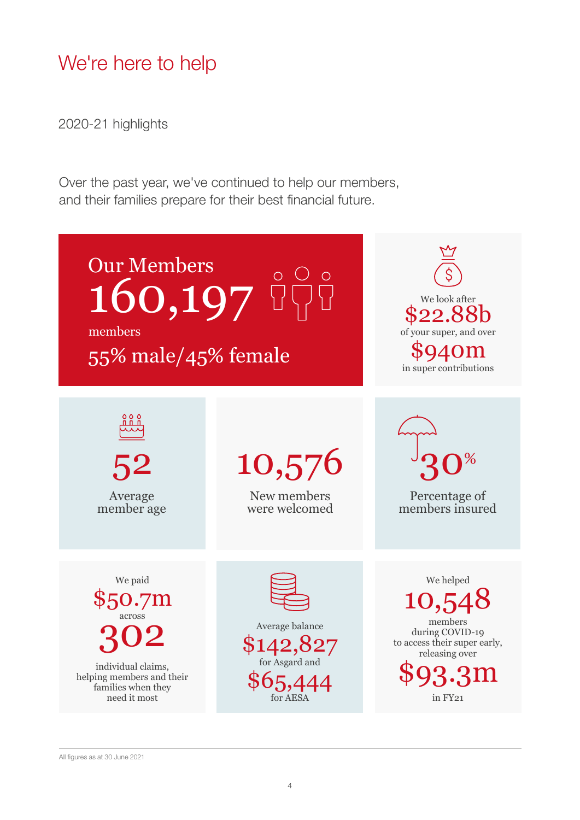# <span id="page-3-0"></span>We're here to help

2020-21 highlights

Over the past year, we've continued to help our members, and their families prepare for their best financial future.



All figures as at 30 June 2021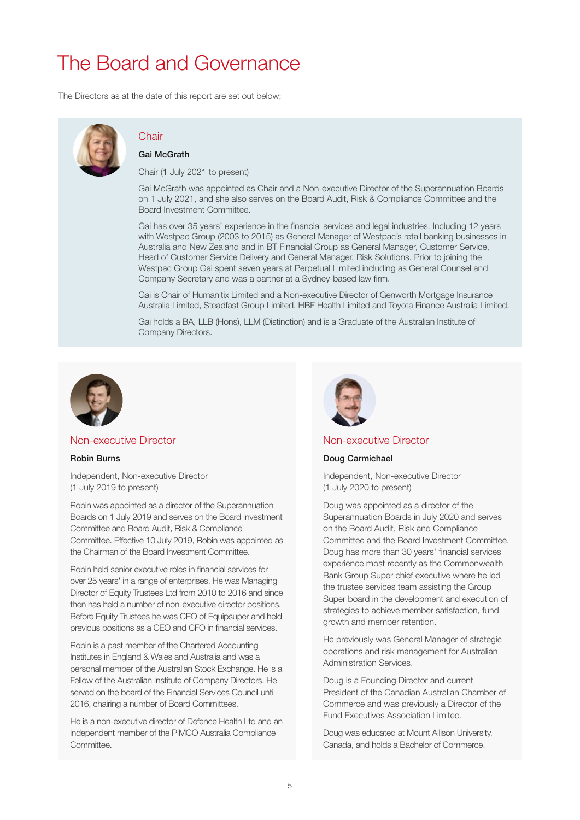# <span id="page-4-0"></span>The Board and Governance

The Directors as at the date of this report are set out below;



### **Chair**

#### Gai McGrath

Chair (1 July 2021 to present)

Gai McGrath was appointed as Chair and a Non-executive Director of the Superannuation Boards on 1 July 2021, and she also serves on the Board Audit, Risk & Compliance Committee and the Board Investment Committee.

Gai has over 35 years' experience in the financial services and legal industries. Including 12 years with Westpac Group (2003 to 2015) as General Manager of Westpac's retail banking businesses in Australia and New Zealand and in BT Financial Group as General Manager, Customer Service, Head of Customer Service Delivery and General Manager, Risk Solutions. Prior to joining the Westpac Group Gai spent seven years at Perpetual Limited including as General Counsel and Company Secretary and was a partner at a Sydney-based law firm.

Gai is Chair of Humanitix Limited and a Non-executive Director of Genworth Mortgage Insurance Australia Limited, Steadfast Group Limited, HBF Health Limited and Toyota Finance Australia Limited.

Gai holds a BA, LLB (Hons), LLM (Distinction) and is a Graduate of the Australian Institute of Company Directors.



#### Non-executive Director

#### Robin Burns

Independent, Non-executive Director (1 July 2019 to present)

Robin was appointed as a director of the Superannuation Boards on 1 July 2019 and serves on the Board Investment Committee and Board Audit, Risk & Compliance Committee. Effective 10 July 2019, Robin was appointed as the Chairman of the Board Investment Committee.

Robin held senior executive roles in financial services for over 25 years' in a range of enterprises. He was Managing Director of Equity Trustees Ltd from 2010 to 2016 and since then has held a number of non-executive director positions. Before Equity Trustees he was CEO of Equipsuper and held previous positions as a CEO and CFO in financial services.

Robin is a past member of the Chartered Accounting Institutes in England & Wales and Australia and was a personal member of the Australian Stock Exchange. He is a Fellow of the Australian Institute of Company Directors. He served on the board of the Financial Services Council until 2016, chairing a number of Board Committees.

He is a non-executive director of Defence Health Ltd and an independent member of the PIMCO Australia Compliance Committee.



# Non-executive Director

#### Doug Carmichael

Independent, Non-executive Director (1 July 2020 to present)

Doug was appointed as a director of the Superannuation Boards in July 2020 and serves on the Board Audit, Risk and Compliance Committee and the Board Investment Committee. Doug has more than 30 years' financial services experience most recently as the Commonwealth Bank Group Super chief executive where he led the trustee services team assisting the Group Super board in the development and execution of strategies to achieve member satisfaction, fund growth and member retention.

He previously was General Manager of strategic operations and risk management for Australian Administration Services.

Doug is a Founding Director and current President of the Canadian Australian Chamber of Commerce and was previously a Director of the Fund Executives Association Limited.

Doug was educated at Mount Allison University, Canada, and holds a Bachelor of Commerce.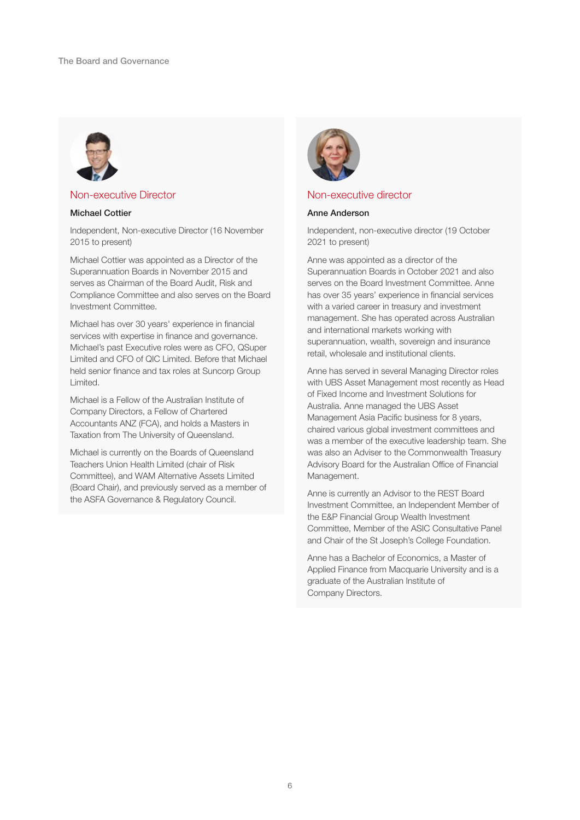

#### Non-executive Director

#### Michael Cottier

Independent, Non-executive Director (16 November 2015 to present)

Michael Cottier was appointed as a Director of the Superannuation Boards in November 2015 and serves as Chairman of the Board Audit, Risk and Compliance Committee and also serves on the Board Investment Committee.

Michael has over 30 years' experience in financial services with expertise in finance and governance. Michael's past Executive roles were as CFO, QSuper Limited and CFO of QIC Limited. Before that Michael held senior finance and tax roles at Suncorp Group Limited.

Michael is a Fellow of the Australian Institute of Company Directors, a Fellow of Chartered Accountants ANZ (FCA), and holds a Masters in Taxation from The University of Queensland.

Michael is currently on the Boards of Queensland Teachers Union Health Limited (chair of Risk Committee), and WAM Alternative Assets Limited (Board Chair), and previously served as a member of the ASFA Governance & Regulatory Council.



#### Non-executive director

#### Anne Anderson

Independent, non-executive director (19 October 2021 to present)

Anne was appointed as a director of the Superannuation Boards in October 2021 and also serves on the Board Investment Committee. Anne has over 35 years' experience in financial services with a varied career in treasury and investment management. She has operated across Australian and international markets working with superannuation, wealth, sovereign and insurance retail, wholesale and institutional clients.

Anne has served in several Managing Director roles with UBS Asset Management most recently as Head of Fixed Income and Investment Solutions for Australia. Anne managed the UBS Asset Management Asia Pacific business for 8 years, chaired various global investment committees and was a member of the executive leadership team. She was also an Adviser to the Commonwealth Treasury Advisory Board for the Australian Office of Financial Management.

Anne is currently an Advisor to the REST Board Investment Committee, an Independent Member of the E&P Financial Group Wealth Investment Committee, Member of the ASIC Consultative Panel and Chair of the St Joseph's College Foundation.

Anne has a Bachelor of Economics, a Master of Applied Finance from Macquarie University and is a graduate of the Australian Institute of Company Directors.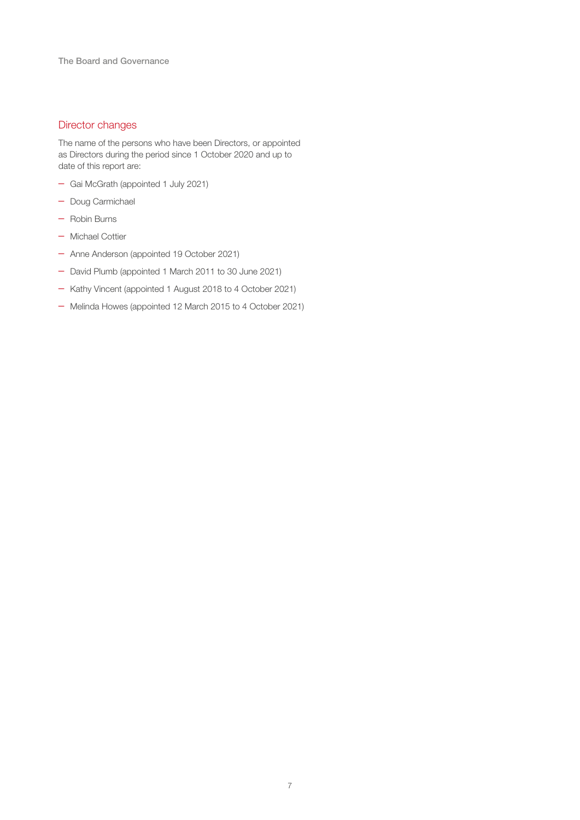The Board and Governance

### Director changes

The name of the persons who have been Directors, or appointed as Directors during the period since 1 October 2020 and up to date of this report are:

- Gai McGrath (appointed 1 July 2021)
- Doug Carmichael
- Robin Burns
- Michael Cottier
- Anne Anderson (appointed 19 October 2021)
- David Plumb (appointed 1 March 2011 to 30 June 2021)
- Kathy Vincent (appointed 1 August 2018 to 4 October 2021)
- Melinda Howes (appointed 12 March 2015 to 4 October 2021)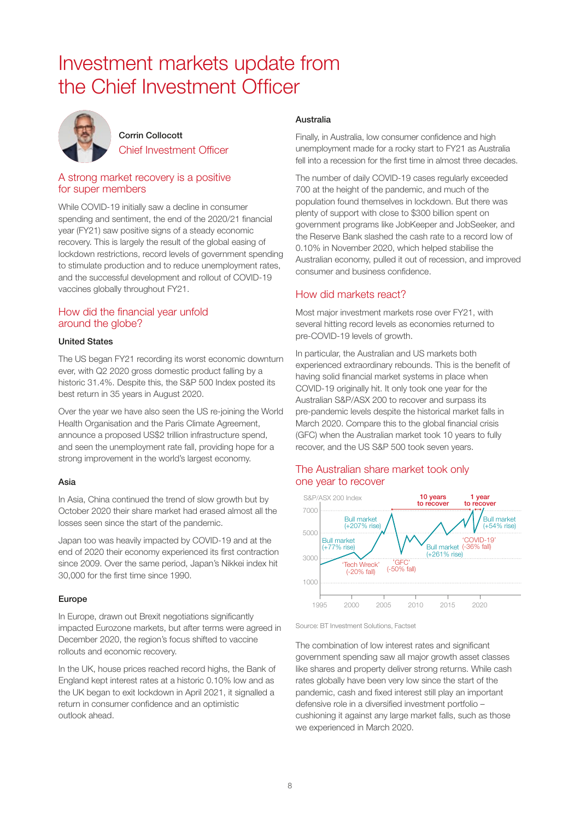# <span id="page-7-0"></span>Investment markets update from the Chief Investment Officer



 Corrin Collocott Chief Investment Officer

### A strong market recovery is a positive for super members

While COVID-19 initially saw a decline in consumer spending and sentiment, the end of the 2020/21 financial year (FY21) saw positive signs of a steady economic recovery. This is largely the result of the global easing of lockdown restrictions, record levels of government spending to stimulate production and to reduce unemployment rates, and the successful development and rollout of COVID-19 vaccines globally throughout FY21.

### How did the financial year unfold around the globe?

#### United States

The US began FY21 recording its worst economic downturn ever, with Q2 2020 gross domestic product falling by a historic 31.4%. Despite this, the S&P 500 Index posted its best return in 35 years in August 2020.

Over the year we have also seen the US re-joining the World Health Organisation and the Paris Climate Agreement, announce a proposed US\$2 trillion infrastructure spend, and seen the unemployment rate fall, providing hope for a strong improvement in the world's largest economy.

#### Asia

In Asia, China continued the trend of slow growth but by October 2020 their share market had erased almost all the losses seen since the start of the pandemic.

Japan too was heavily impacted by COVID-19 and at the end of 2020 their economy experienced its first contraction since 2009. Over the same period, Japan's Nikkei index hit 30,000 for the first time since 1990.

#### Europe

In Europe, drawn out Brexit negotiations significantly impacted Eurozone markets, but after terms were agreed in December 2020, the region's focus shifted to vaccine rollouts and economic recovery.

In the UK, house prices reached record highs, the Bank of England kept interest rates at a historic 0.10% low and as the UK began to exit lockdown in April 2021, it signalled a return in consumer confidence and an optimistic outlook ahead.

#### Australia

Finally, in Australia, low consumer confidence and high unemployment made for a rocky start to FY21 as Australia fell into a recession for the first time in almost three decades.

The number of daily COVID-19 cases regularly exceeded 700 at the height of the pandemic, and much of the population found themselves in lockdown. But there was plenty of support with close to \$300 billion spent on government programs like JobKeeper and JobSeeker, and the Reserve Bank slashed the cash rate to a record low of 0.10% in November 2020, which helped stabilise the Australian economy, pulled it out of recession, and improved consumer and business confidence.

# How did markets react?

Most major investment markets rose over FY21, with several hitting record levels as economies returned to pre-COVID-19 levels of growth.

In particular, the Australian and US markets both experienced extraordinary rebounds. This is the benefit of having solid financial market systems in place when COVID-19 originally hit. It only took one year for the Australian S&P/ASX 200 to recover and surpass its pre-pandemic levels despite the historical market falls in March 2020. Compare this to the global financial crisis (GFC) when the Australian market took 10 years to fully recover, and the US S&P 500 took seven years.

### The Australian share market took only one year to recover



Source: BT Investment Solutions, Factset

The combination of low interest rates and significant government spending saw all major growth asset classes like shares and property deliver strong returns. While cash rates globally have been very low since the start of the pandemic, cash and fixed interest still play an important defensive role in a diversified investment portfolio – cushioning it against any large market falls, such as those we experienced in March 2020.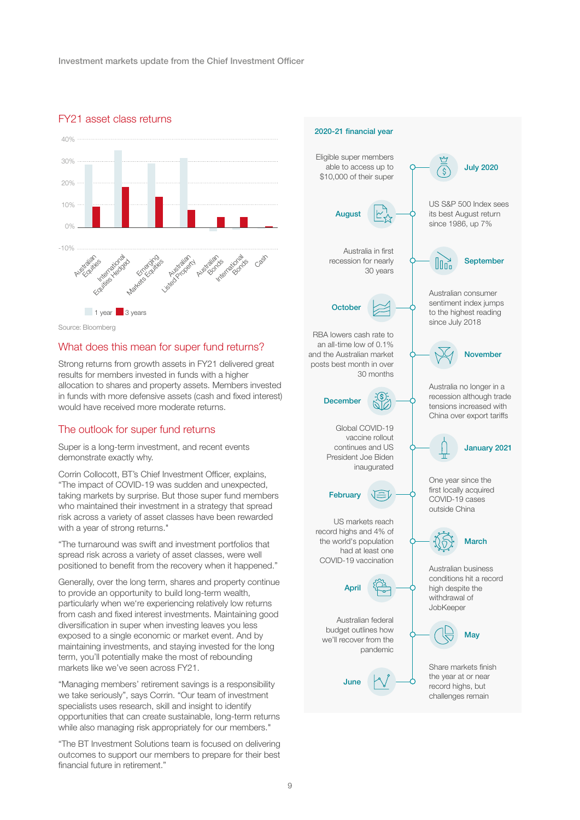### FY21 asset class returns



Source: Bloomberg

#### What does this mean for super fund returns?

Strong returns from growth assets in FY21 delivered great results for members invested in funds with a higher allocation to shares and property assets. Members invested in funds with more defensive assets (cash and fixed interest) would have received more moderate returns.

#### The outlook for super fund returns

Super is a long-term investment, and recent events demonstrate exactly why.

Corrin Collocott, BT's Chief Investment Officer, explains, "The impact of COVID-19 was sudden and unexpected, taking markets by surprise. But those super fund members who maintained their investment in a strategy that spread risk across a variety of asset classes have been rewarded with a year of strong returns."

"The turnaround was swift and investment portfolios that spread risk across a variety of asset classes, were well positioned to benefit from the recovery when it happened."

Generally, over the long term, shares and property continue to provide an opportunity to build long-term wealth, particularly when we're experiencing relatively low returns from cash and fixed interest investments. Maintaining good diversification in super when investing leaves you less exposed to a single economic or market event. And by maintaining investments, and staying invested for the long term, you'll potentially make the most of rebounding markets like we've seen across FY21.

"Managing members' retirement savings is a responsibility we take seriously", says Corrin. "Our team of investment specialists uses research, skill and insight to identify opportunities that can create sustainable, long-term returns while also managing risk appropriately for our members."

"The BT Investment Solutions team is focused on delivering outcomes to support our members to prepare for their best financial future in retirement."

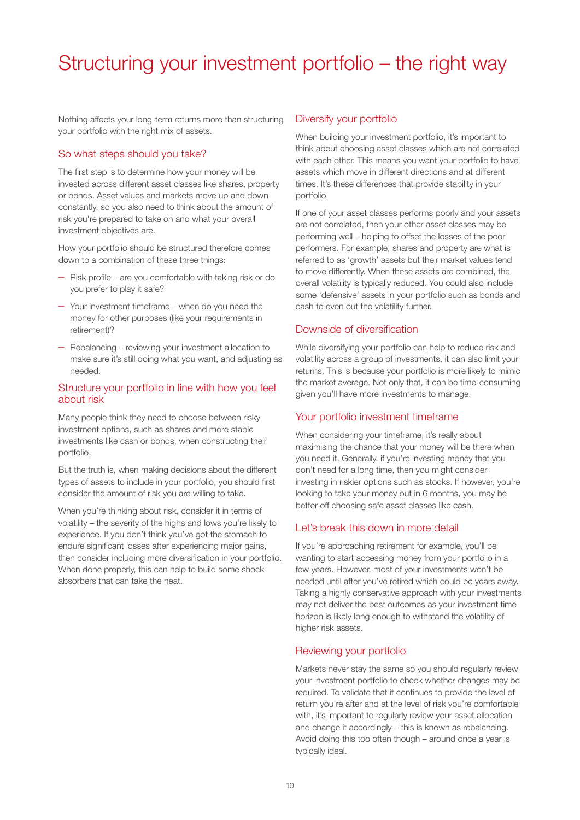# <span id="page-9-0"></span>Structuring your investment portfolio – the right way

Nothing affects your long-term returns more than structuring your portfolio with the right mix of assets.

### So what steps should you take?

The first step is to determine how your money will be invested across different asset classes like shares, property or bonds. Asset values and markets move up and down constantly, so you also need to think about the amount of risk you're prepared to take on and what your overall investment objectives are.

How your portfolio should be structured therefore comes down to a combination of these three things:

- Risk profile are you comfortable with taking risk or do you prefer to play it safe?
- Your investment timeframe when do you need the money for other purposes (like your requirements in retirement)?
- Rebalancing reviewing your investment allocation to make sure it's still doing what you want, and adjusting as needed.

#### Structure your portfolio in line with how you feel about risk

Many people think they need to choose between risky investment options, such as shares and more stable investments like cash or bonds, when constructing their portfolio.

But the truth is, when making decisions about the different types of assets to include in your portfolio, you should first consider the amount of risk you are willing to take.

When you're thinking about risk, consider it in terms of volatility – the severity of the highs and lows you're likely to experience. If you don't think you've got the stomach to endure significant losses after experiencing major gains, then consider including more diversification in your portfolio. When done properly, this can help to build some shock absorbers that can take the heat.

#### Diversify your portfolio

When building your investment portfolio, it's important to think about choosing asset classes which are not correlated with each other. This means you want your portfolio to have assets which move in different directions and at different times. It's these differences that provide stability in your portfolio.

If one of your asset classes performs poorly and your assets are not correlated, then your other asset classes may be performing well – helping to offset the losses of the poor performers. For example, shares and property are what is referred to as 'growth' assets but their market values tend to move differently. When these assets are combined, the overall volatility is typically reduced. You could also include some 'defensive' assets in your portfolio such as bonds and cash to even out the volatility further.

### Downside of diversification

While diversifying your portfolio can help to reduce risk and volatility across a group of investments, it can also limit your returns. This is because your portfolio is more likely to mimic the market average. Not only that, it can be time-consuming given you'll have more investments to manage.

#### Your portfolio investment timeframe

When considering your timeframe, it's really about maximising the chance that your money will be there when you need it. Generally, if you're investing money that you don't need for a long time, then you might consider investing in riskier options such as stocks. If however, you're looking to take your money out in 6 months, you may be better off choosing safe asset classes like cash.

# Let's break this down in more detail

If you're approaching retirement for example, you'll be wanting to start accessing money from your portfolio in a few years. However, most of your investments won't be needed until after you've retired which could be years away. Taking a highly conservative approach with your investments may not deliver the best outcomes as your investment time horizon is likely long enough to withstand the volatility of higher risk assets.

# Reviewing your portfolio

Markets never stay the same so you should regularly review your investment portfolio to check whether changes may be required. To validate that it continues to provide the level of return you're after and at the level of risk you're comfortable with, it's important to regularly review your asset allocation and change it accordingly – this is known as rebalancing. Avoid doing this too often though – around once a year is typically ideal.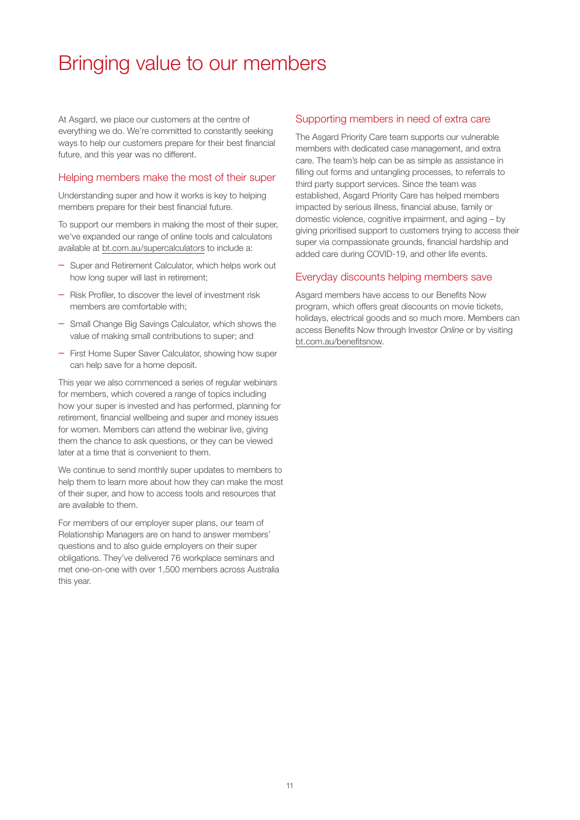# <span id="page-10-0"></span>Bringing value to our members

At Asgard, we place our customers at the centre of everything we do. We're committed to constantly seeking ways to help our customers prepare for their best financial future, and this year was no different.

### Helping members make the most of their super

Understanding super and how it works is key to helping members prepare for their best financial future.

To support our members in making the most of their super, we've expanded our range of online tools and calculators available at [bt.com.au/supercalculators](http://bt.com.au/supercalculators) to include a:

- Super and Retirement Calculator, which helps work out how long super will last in retirement;
- Risk Profiler, to discover the level of investment risk members are comfortable with;
- Small Change Big Savings Calculator, which shows the value of making small contributions to super; and
- First Home Super Saver Calculator, showing how super can help save for a home deposit.

This year we also commenced a series of regular webinars for members, which covered a range of topics including how your super is invested and has performed, planning for retirement, financial wellbeing and super and money issues for women. Members can attend the webinar live, giving them the chance to ask questions, or they can be viewed later at a time that is convenient to them.

We continue to send monthly super updates to members to help them to learn more about how they can make the most of their super, and how to access tools and resources that are available to them.

For members of our employer super plans, our team of Relationship Managers are on hand to answer members' questions and to also guide employers on their super obligations. They've delivered 76 workplace seminars and met one-on-one with over 1,500 members across Australia this year.

### Supporting members in need of extra care

The Asgard Priority Care team supports our vulnerable members with dedicated case management, and extra care. The team's help can be as simple as assistance in filling out forms and untangling processes, to referrals to third party support services. Since the team was established, Asgard Priority Care has helped members impacted by serious illness, financial abuse, family or domestic violence, cognitive impairment, and aging – by giving prioritised support to customers trying to access their super via compassionate grounds, financial hardship and added care during COVID-19, and other life events.

# Everyday discounts helping members save

Asgard members have access to our Benefits Now program, which offers great discounts on movie tickets, holidays, electrical goods and so much more. Members can access Benefits Now through Investor *Online* or by visiting [bt.com.au/benefitsnow.](http://bt.com.au/benefitsnow)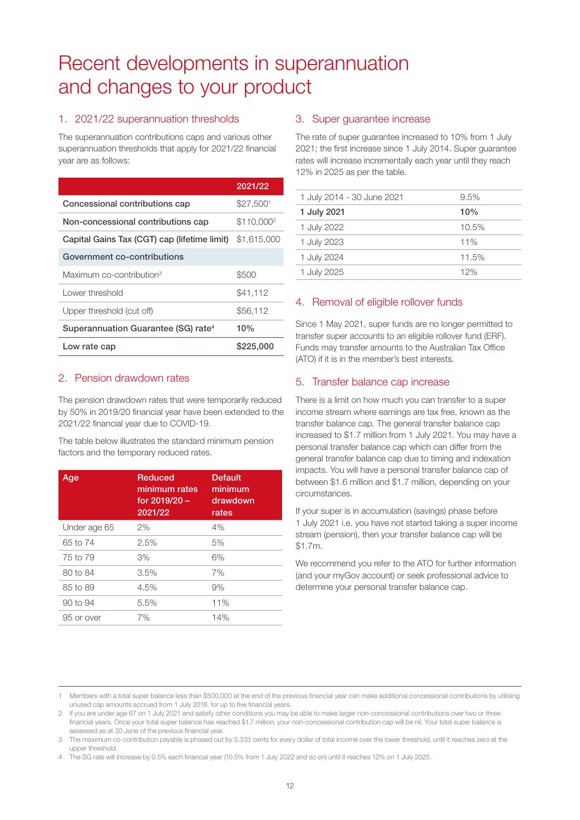# <span id="page-11-0"></span>Recent developments in superannuation and changes to your product

### 1. 2021/22 superannuation thresholds

The superannuation contributions caps and various other superannuation thresholds that apply for 2021/22 financial year are as follows:

|                                                 | 2021/22                |
|-------------------------------------------------|------------------------|
| Concessional contributions cap                  | \$27,5001              |
| Non-concessional contributions cap              | \$110,000 <sup>2</sup> |
| Capital Gains Tax (CGT) cap (lifetime limit)    | \$1,615,000            |
| Government co-contributions                     |                        |
| Maximum co-contribution <sup>3</sup>            | \$500                  |
| Lower threshold                                 | \$41.112               |
| Upper threshold (cut off)                       | \$56,112               |
| Superannuation Guarantee (SG) rate <sup>4</sup> | 10%                    |
| Low rate cap                                    | \$225,000              |

# 2. Pension drawdown rates

The pension drawdown rates that were temporarily reduced by 50% in 2019/20 financial year have been extended to the 2021/22 financial year due to COVID-19.

The table below illustrates the standard minimum pension factors and the temporary reduced rates.

| Age          | <b>Reduced</b><br>minimum rates<br>for 2019/20 -<br>2021/22 | <b>Default</b><br>minimum<br>drawdown<br>rates |
|--------------|-------------------------------------------------------------|------------------------------------------------|
| Under age 65 | 2%                                                          | 4%                                             |
| 65 to 74     | 2.5%                                                        | 5%                                             |
| 75 to 79     | 3%                                                          | 6%                                             |
| 80 to 84     | 3.5%                                                        | 7%                                             |
| 85 to 89     | 4.5%                                                        | 9%                                             |
| 90 to 94     | 5.5%                                                        | 11%                                            |
| 95 or over   | 7%                                                          | 14%                                            |

### 3. Super guarantee increase

The rate of super guarantee increased to 10% from 1 July 2021; the first increase since 1 July 2014. Super guarantee rates will increase incrementally each year until they reach 12% in 2025 as per the table.

| 1 July 2014 - 30 June 2021 | 9.5%  |
|----------------------------|-------|
| 1 July 2021                | 10%   |
| 1 July 2022                | 10.5% |
| 1 July 2023                | 11%   |
| 1 July 2024                | 11.5% |
| 1 July 2025                | 12%   |
|                            |       |

# 4. Removal of eligible rollover funds

Since 1 May 2021, super funds are no longer permitted to transfer super accounts to an eligible rollover fund (ERF). Funds may transfer amounts to the Australian Tax Office (ATO) if it is in the member's best interests.

# 5. Transfer balance cap increase

There is a limit on how much you can transfer to a super income stream where earnings are tax free, known as the transfer balance cap. The general transfer balance cap increased to \$1.7 million from 1 July 2021. You may have a personal transfer balance cap which can differ from the general transfer balance cap due to timing and indexation impacts. You will have a personal transfer balance cap of between \$1.6 million and \$1.7 million, depending on your circumstances.

If your super is in accumulation (savings) phase before 1 July 2021 i.e. you have not started taking a super income stream (pension), then your transfer balance cap will be \$1.7m.

We recommend you refer to the ATO for further information (and your myGov account) or seek professional advice to determine your personal transfer balance cap.

<sup>1</sup> Members with a total super balance less than \$500,000 at the end of the previous financial year can make additional concessional contributions by utilising unused cap amounts accrued from 1 July 2018, for up to five financial years.

<sup>2</sup> If you are under age 67 on 1 July 2021 and satisfy other conditions you may be able to make larger non-concessional contributions over two or three financial years. Once your total super balance has reached \$1.7 million, your non-concessional contribution cap will be nil. Your total super balance is assessed as at 30 June of the previous financial year.

<sup>3</sup> The maximum co-contribution payable is phased out by 3.333 cents for every dollar of total income over the lower threshold, until it reaches zero at the upper threshold.

<sup>4</sup> The SG rate will increase by 0.5% each financial year (10.5% from 1 July 2022 and so on) until it reaches 12% on 1 July 2025.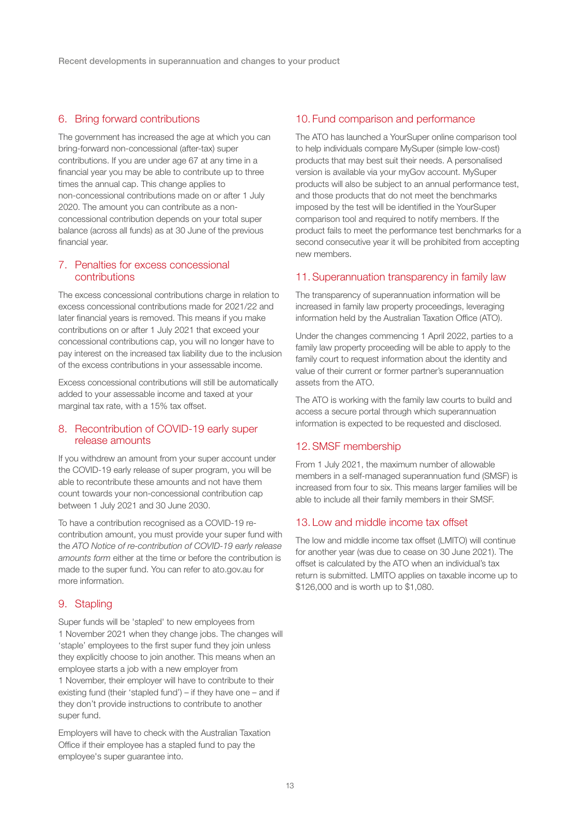#### 6. Bring forward contributions

The government has increased the age at which you can bring-forward non-concessional (after-tax) super contributions. If you are under age 67 at any time in a financial year you may be able to contribute up to three times the annual cap. This change applies to non-concessional contributions made on or after 1 July 2020. The amount you can contribute as a nonconcessional contribution depends on your total super balance (across all funds) as at 30 June of the previous financial year.

#### 7. Penalties for excess concessional contributions

The excess concessional contributions charge in relation to excess concessional contributions made for 2021/22 and later financial years is removed. This means if you make contributions on or after 1 July 2021 that exceed your concessional contributions cap, you will no longer have to pay interest on the increased tax liability due to the inclusion of the excess contributions in your assessable income.

Excess concessional contributions will still be automatically added to your assessable income and taxed at your marginal tax rate, with a 15% tax offset.

#### 8. Recontribution of COVID-19 early super release amounts

If you withdrew an amount from your super account under the COVID-19 early release of super program, you will be able to recontribute these amounts and not have them count towards your non-concessional contribution cap between 1 July 2021 and 30 June 2030.

To have a contribution recognised as a COVID-19 recontribution amount, you must provide your super fund with the *ATO Notice of re-contribution of COVID-19 early release amounts form* either at the time or before the contribution is made to the super fund. You can refer to ato.gov.au for more information.

#### 9. Stapling

Super funds will be 'stapled' to new employees from 1 November 2021 when they change jobs. The changes will 'staple' employees to the first super fund they join unless they explicitly choose to join another. This means when an employee starts a job with a new employer from 1 November, their employer will have to contribute to their existing fund (their 'stapled fund') – if they have one – and if they don't provide instructions to contribute to another super fund.

Employers will have to check with the Australian Taxation Office if their employee has a stapled fund to pay the employee's super guarantee into.

#### 10. Fund comparison and performance

The ATO has launched a YourSuper online comparison tool to help individuals compare MySuper (simple low-cost) products that may best suit their needs. A personalised version is available via your myGov account. MySuper products will also be subject to an annual performance test, and those products that do not meet the benchmarks imposed by the test will be identified in the YourSuper comparison tool and required to notify members. If the product fails to meet the performance test benchmarks for a second consecutive year it will be prohibited from accepting new members.

#### 11.Superannuation transparency in family law

The transparency of superannuation information will be increased in family law property proceedings, leveraging information held by the Australian Taxation Office (ATO).

Under the changes commencing 1 April 2022, parties to a family law property proceeding will be able to apply to the family court to request information about the identity and value of their current or former partner's superannuation assets from the ATO.

The ATO is working with the family law courts to build and access a secure portal through which superannuation information is expected to be requested and disclosed.

#### 12.SMSF membership

From 1 July 2021, the maximum number of allowable members in a self-managed superannuation fund (SMSF) is increased from four to six. This means larger families will be able to include all their family members in their SMSF.

#### 13. Low and middle income tax offset

The low and middle income tax offset (LMITO) will continue for another year (was due to cease on 30 June 2021). The offset is calculated by the ATO when an individual's tax return is submitted. LMITO applies on taxable income up to \$126,000 and is worth up to \$1,080.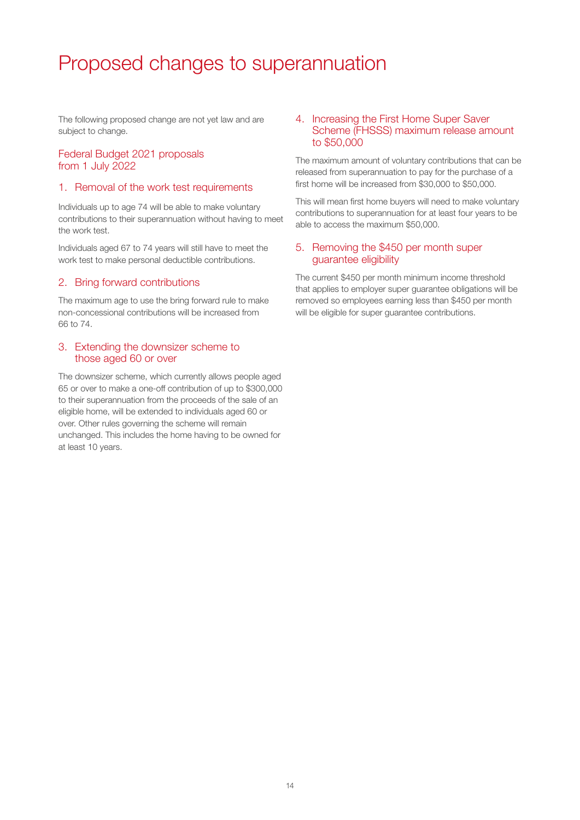# <span id="page-13-0"></span>Proposed changes to superannuation

The following proposed change are not yet law and are subject to change.

#### Federal Budget 2021 proposals from 1 July 2022

#### 1. Removal of the work test requirements

Individuals up to age 74 will be able to make voluntary contributions to their superannuation without having to meet the work test.

Individuals aged 67 to 74 years will still have to meet the work test to make personal deductible contributions.

#### 2. Bring forward contributions

The maximum age to use the bring forward rule to make non-concessional contributions will be increased from 66 to 74.

#### 3. Extending the downsizer scheme to those aged 60 or over

The downsizer scheme, which currently allows people aged 65 or over to make a one-off contribution of up to \$300,000 to their superannuation from the proceeds of the sale of an eligible home, will be extended to individuals aged 60 or over. Other rules governing the scheme will remain unchanged. This includes the home having to be owned for at least 10 years.

#### 4. Increasing the First Home Super Saver Scheme (FHSSS) maximum release amount to \$50,000

The maximum amount of voluntary contributions that can be released from superannuation to pay for the purchase of a first home will be increased from \$30,000 to \$50,000.

This will mean first home buyers will need to make voluntary contributions to superannuation for at least four years to be able to access the maximum \$50,000.

#### 5. Removing the \$450 per month super guarantee eligibility

The current \$450 per month minimum income threshold that applies to employer super guarantee obligations will be removed so employees earning less than \$450 per month will be eligible for super guarantee contributions.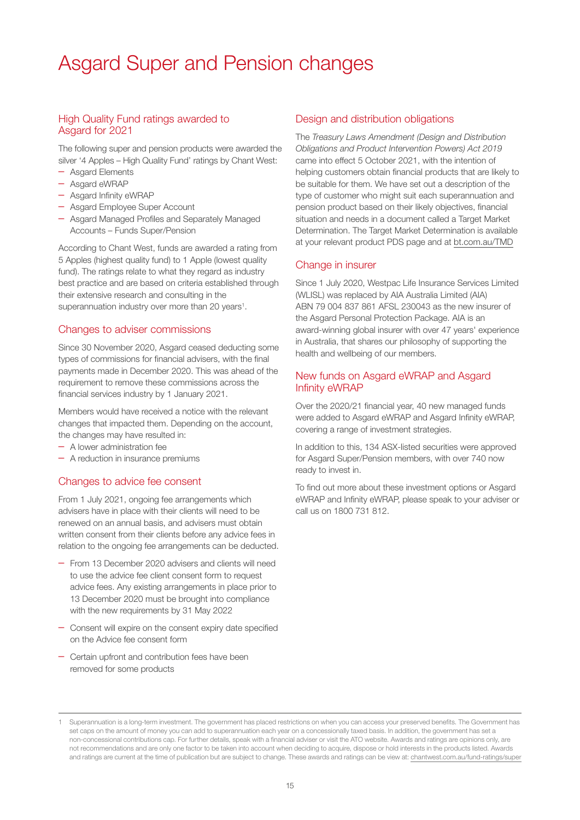# <span id="page-14-0"></span>Asgard Super and Pension changes

#### High Quality Fund ratings awarded to Asgard for 2021

The following super and pension products were awarded the silver '4 Apples – High Quality Fund' ratings by Chant West:

- Asgard Elements
- Asgard eWRAP
- Asgard Infinity eWRAP
- Asgard Employee Super Account
- Asgard Managed Profiles and Separately Managed Accounts – Funds Super/Pension

According to Chant West, funds are awarded a rating from 5 Apples (highest quality fund) to 1 Apple (lowest quality fund). The ratings relate to what they regard as industry best practice and are based on criteria established through their extensive research and consulting in the superannuation industry over more than 20 years<sup>1</sup>.

#### Changes to adviser commissions

Since 30 November 2020, Asgard ceased deducting some types of commissions for financial advisers, with the final payments made in December 2020. This was ahead of the requirement to remove these commissions across the financial services industry by 1 January 2021.

Members would have received a notice with the relevant changes that impacted them. Depending on the account, the changes may have resulted in:

- A lower administration fee
- A reduction in insurance premiums

#### Changes to advice fee consent

From 1 July 2021, ongoing fee arrangements which advisers have in place with their clients will need to be renewed on an annual basis, and advisers must obtain written consent from their clients before any advice fees in relation to the ongoing fee arrangements can be deducted.

- From 13 December 2020 advisers and clients will need to use the advice fee client consent form to request advice fees. Any existing arrangements in place prior to 13 December 2020 must be brought into compliance with the new requirements by 31 May 2022
- Consent will expire on the consent expiry date specified on the Advice fee consent form
- Certain upfront and contribution fees have been removed for some products

#### Design and distribution obligations

The *Treasury Laws Amendment (Design and Distribution Obligations and Product Intervention Powers) Act 2019* came into effect 5 October 2021, with the intention of helping customers obtain financial products that are likely to be suitable for them. We have set out a description of the type of customer who might suit each superannuation and pension product based on their likely objectives, financial situation and needs in a document called a Target Market Determination. The Target Market Determination is available at your relevant product PDS page and at [bt.com.au/TMD](http://bt.com.au/TMD)

#### Change in insurer

Since 1 July 2020, Westpac Life Insurance Services Limited (WLISL) was replaced by AIA Australia Limited (AIA) ABN 79 004 837 861 AFSL 230043 as the new insurer of the Asgard Personal Protection Package. AIA is an award-winning global insurer with over 47 years' experience in Australia, that shares our philosophy of supporting the health and wellbeing of our members.

#### New funds on Asgard eWRAP and Asgard Infinity eWRAP

Over the 2020/21 financial year, 40 new managed funds were added to Asgard eWRAP and Asgard Infinity eWRAP, covering a range of investment strategies.

In addition to this, 134 ASX-listed securities were approved for Asgard Super/Pension members, with over 740 now ready to invest in.

To find out more about these investment options or Asgard eWRAP and Infinity eWRAP, please speak to your adviser or call us on 1800 731 812.

<sup>1</sup> Superannuation is a long-term investment. The government has placed restrictions on when you can access your preserved benefits. The Government has set caps on the amount of money you can add to superannuation each year on a concessionally taxed basis. In addition, the government has set a non-concessional contributions cap. For further details, speak with a financial adviser or visit the ATO website. Awards and ratings are opinions only, are not recommendations and are only one factor to be taken into account when deciding to acquire, dispose or hold interests in the products listed. Awards and ratings are current at the time of publication but are subject to change. These awards and ratings can be view at: [chantwest.com.au/fund-ratings/super](http://chantwest.com.au/fund-ratings/super)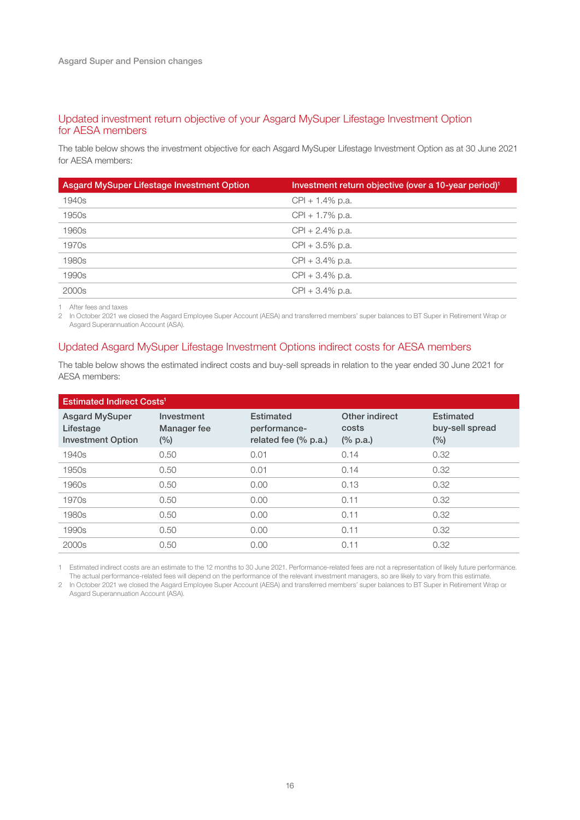### Updated investment return objective of your Asgard MySuper Lifestage Investment Option for AESA members

The table below shows the investment objective for each Asgard MySuper Lifestage Investment Option as at 30 June 2021 for AESA members:

| 1940s<br>$CPI + 1.4\%$ p.a.<br>1950s<br>$CPI + 1.7\%$ p.a.<br>1960s<br>$CPI + 2.4\%$ p.a.<br>1970s<br>$CPI + 3.5\%$ p.a.<br>1980s<br>$CPI + 3.4\%$ p.a.<br>1990s<br>$CPI + 3.4\%$ p.a. | Asgard MySuper Lifestage Investment Option | Investment return objective (over a 10-year period) <sup>1</sup> |
|----------------------------------------------------------------------------------------------------------------------------------------------------------------------------------------|--------------------------------------------|------------------------------------------------------------------|
|                                                                                                                                                                                        |                                            |                                                                  |
|                                                                                                                                                                                        |                                            |                                                                  |
|                                                                                                                                                                                        |                                            |                                                                  |
|                                                                                                                                                                                        |                                            |                                                                  |
|                                                                                                                                                                                        |                                            |                                                                  |
|                                                                                                                                                                                        |                                            |                                                                  |
| $CPI + 3.4\%$ p.a.<br>2000s                                                                                                                                                            |                                            |                                                                  |

1 After fees and taxes

2 In October 2021 we closed the Asgard Employee Super Account (AESA) and transferred members' super balances to BT Super in Retirement Wrap or Asgard Superannuation Account (ASA).

#### Updated Asgard MySuper Lifestage Investment Options indirect costs for AESA members

The table below shows the estimated indirect costs and buy-sell spreads in relation to the year ended 30 June 2021 for AESA members:

| <b>Estimated Indirect Costs<sup>1</sup></b>                    |                                     |                                                      |                                                      |                                               |
|----------------------------------------------------------------|-------------------------------------|------------------------------------------------------|------------------------------------------------------|-----------------------------------------------|
| <b>Asgard MySuper</b><br>Lifestage<br><b>Investment Option</b> | Investment<br>Manager fee<br>$(\%)$ | Estimated<br>performance-<br>related fee $(\%$ p.a.) | Other indirect<br>costs<br>$(% \mathbf{a})$ (% p.a.) | <b>Estimated</b><br>buy-sell spread<br>$(\%)$ |
| 1940s                                                          | 0.50                                | 0.01                                                 | 0.14                                                 | 0.32                                          |
| 1950s                                                          | 0.50                                | 0.01                                                 | 0.14                                                 | 0.32                                          |
| 1960s                                                          | 0.50                                | 0.00                                                 | 0.13                                                 | 0.32                                          |
| 1970s                                                          | 0.50                                | 0.00                                                 | 0.11                                                 | 0.32                                          |
| 1980s                                                          | 0.50                                | 0.00                                                 | 0.11                                                 | 0.32                                          |
| 1990s                                                          | 0.50                                | 0.00                                                 | 0.11                                                 | 0.32                                          |
| 2000s                                                          | 0.50                                | 0.00                                                 | 0.11                                                 | 0.32                                          |

1 Estimated indirect costs are an estimate to the 12 months to 30 June 2021. Performance-related fees are not a representation of likely future performance. The actual performance-related fees will depend on the performance of the relevant investment managers, so are likely to vary from this estimate.

2 In October 2021 we closed the Asgard Employee Super Account (AESA) and transferred members' super balances to BT Super in Retirement Wrap or Asgard Superannuation Account (ASA).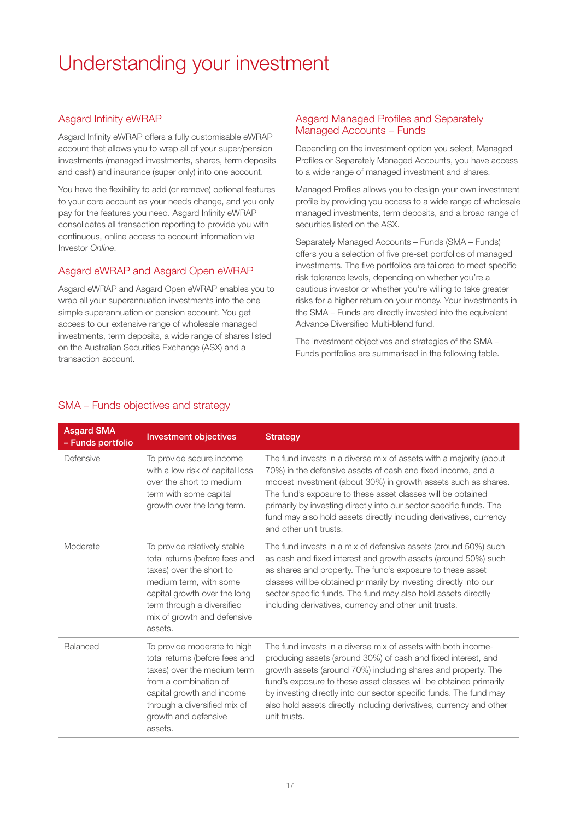# <span id="page-16-0"></span>Understanding your investment

### Asgard Infinity eWRAP

Asgard Infinity eWRAP offers a fully customisable eWRAP account that allows you to wrap all of your super/pension investments (managed investments, shares, term deposits and cash) and insurance (super only) into one account.

You have the flexibility to add (or remove) optional features to your core account as your needs change, and you only pay for the features you need. Asgard Infinity eWRAP consolidates all transaction reporting to provide you with continuous, online access to account information via Investor *Online*.

### Asgard eWRAP and Asgard Open eWRAP

Asgard eWRAP and Asgard Open eWRAP enables you to wrap all your superannuation investments into the one simple superannuation or pension account. You get access to our extensive range of wholesale managed investments, term deposits, a wide range of shares listed on the Australian Securities Exchange (ASX) and a transaction account.

#### Asgard Managed Profiles and Separately Managed Accounts – Funds

Depending on the investment option you select, Managed Profiles or Separately Managed Accounts, you have access to a wide range of managed investment and shares.

Managed Profiles allows you to design your own investment profile by providing you access to a wide range of wholesale managed investments, term deposits, and a broad range of securities listed on the ASX.

Separately Managed Accounts – Funds (SMA – Funds) offers you a selection of five pre-set portfolios of managed investments. The five portfolios are tailored to meet specific risk tolerance levels, depending on whether you're a cautious investor or whether you're willing to take greater risks for a higher return on your money. Your investments in the SMA – Funds are directly invested into the equivalent Advance Diversified Multi-blend fund.

The investment objectives and strategies of the SMA – Funds portfolios are summarised in the following table.

| <b>Asgard SMA</b><br>- Funds portfolio | <b>Investment objectives</b>                                                                                                                                                                                                 | <b>Strategy</b>                                                                                                                                                                                                                                                                                                                                                                                                                            |
|----------------------------------------|------------------------------------------------------------------------------------------------------------------------------------------------------------------------------------------------------------------------------|--------------------------------------------------------------------------------------------------------------------------------------------------------------------------------------------------------------------------------------------------------------------------------------------------------------------------------------------------------------------------------------------------------------------------------------------|
| Defensive                              | To provide secure income<br>with a low risk of capital loss<br>over the short to medium<br>term with some capital<br>growth over the long term.                                                                              | The fund invests in a diverse mix of assets with a majority (about<br>70%) in the defensive assets of cash and fixed income, and a<br>modest investment (about 30%) in growth assets such as shares.<br>The fund's exposure to these asset classes will be obtained<br>primarily by investing directly into our sector specific funds. The<br>fund may also hold assets directly including derivatives, currency<br>and other unit trusts. |
| Moderate                               | To provide relatively stable<br>total returns (before fees and<br>taxes) over the short to<br>medium term, with some<br>capital growth over the long<br>term through a diversified<br>mix of growth and defensive<br>assets. | The fund invests in a mix of defensive assets (around 50%) such<br>as cash and fixed interest and growth assets (around 50%) such<br>as shares and property. The fund's exposure to these asset<br>classes will be obtained primarily by investing directly into our<br>sector specific funds. The fund may also hold assets directly<br>including derivatives, currency and other unit trusts.                                            |
| Balanced                               | To provide moderate to high<br>total returns (before fees and<br>taxes) over the medium term<br>from a combination of<br>capital growth and income<br>through a diversified mix of<br>growth and defensive<br>assets.        | The fund invests in a diverse mix of assets with both income-<br>producing assets (around 30%) of cash and fixed interest, and<br>growth assets (around 70%) including shares and property. The<br>fund's exposure to these asset classes will be obtained primarily<br>by investing directly into our sector specific funds. The fund may<br>also hold assets directly including derivatives, currency and other<br>unit trusts.          |

# SMA – Funds objectives and strategy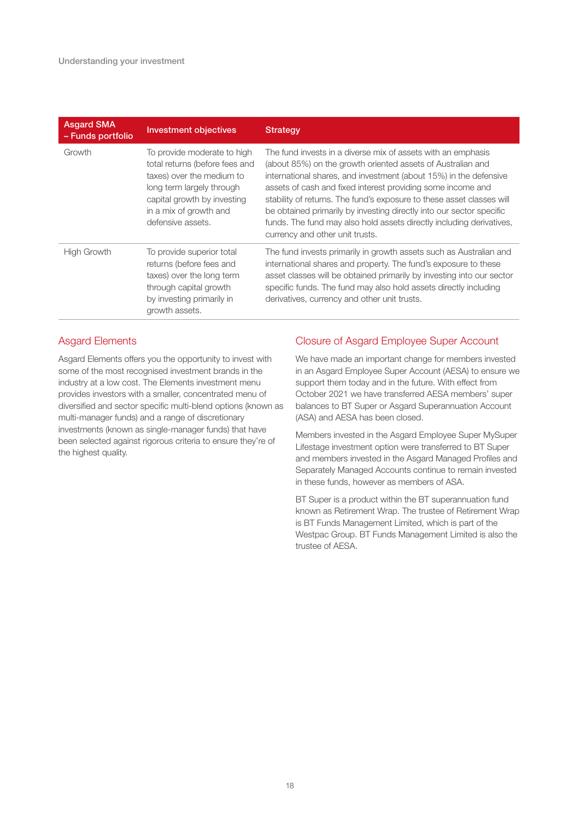| <b>Asgard SMA</b><br>- Funds portfolio | <b>Investment objectives</b>                                                                                                                                                                          | <b>Strategy</b>                                                                                                                                                                                                                                                                                                                                                                                                                                                                                                             |
|----------------------------------------|-------------------------------------------------------------------------------------------------------------------------------------------------------------------------------------------------------|-----------------------------------------------------------------------------------------------------------------------------------------------------------------------------------------------------------------------------------------------------------------------------------------------------------------------------------------------------------------------------------------------------------------------------------------------------------------------------------------------------------------------------|
| Growth                                 | To provide moderate to high<br>total returns (before fees and<br>taxes) over the medium to<br>long term largely through<br>capital growth by investing<br>in a mix of growth and<br>defensive assets. | The fund invests in a diverse mix of assets with an emphasis<br>(about 85%) on the growth oriented assets of Australian and<br>international shares, and investment (about 15%) in the defensive<br>assets of cash and fixed interest providing some income and<br>stability of returns. The fund's exposure to these asset classes will<br>be obtained primarily by investing directly into our sector specific<br>funds. The fund may also hold assets directly including derivatives,<br>currency and other unit trusts. |
| <b>High Growth</b>                     | To provide superior total<br>returns (before fees and<br>taxes) over the long term<br>through capital growth<br>by investing primarily in<br>growth assets.                                           | The fund invests primarily in growth assets such as Australian and<br>international shares and property. The fund's exposure to these<br>asset classes will be obtained primarily by investing into our sector<br>specific funds. The fund may also hold assets directly including<br>derivatives, currency and other unit trusts.                                                                                                                                                                                          |

#### Asgard Elements

Asgard Elements offers you the opportunity to invest with some of the most recognised investment brands in the industry at a low cost. The Elements investment menu provides investors with a smaller, concentrated menu of diversified and sector specific multi-blend options (known as multi-manager funds) and a range of discretionary investments (known as single-manager funds) that have been selected against rigorous criteria to ensure they're of the highest quality.

### Closure of Asgard Employee Super Account

We have made an important change for members invested in an Asgard Employee Super Account (AESA) to ensure we support them today and in the future. With effect from October 2021 we have transferred AESA members' super balances to BT Super or Asgard Superannuation Account (ASA) and AESA has been closed.

Members invested in the Asgard Employee Super MySuper Lifestage investment option were transferred to BT Super and members invested in the Asgard Managed Profiles and Separately Managed Accounts continue to remain invested in these funds, however as members of ASA.

BT Super is a product within the BT superannuation fund known as Retirement Wrap. The trustee of Retirement Wrap is BT Funds Management Limited, which is part of the Westpac Group. BT Funds Management Limited is also the trustee of AESA.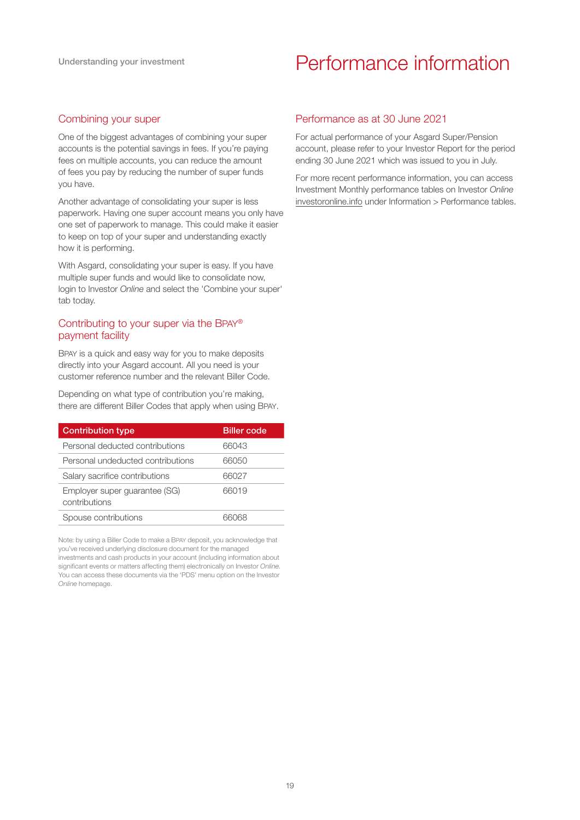# Performance information

### <span id="page-18-0"></span>Combining your super

One of the biggest advantages of combining your super accounts is the potential savings in fees. If you're paying fees on multiple accounts, you can reduce the amount of fees you pay by reducing the number of super funds you have.

Another advantage of consolidating your super is less paperwork. Having one super account means you only have one set of paperwork to manage. This could make it easier to keep on top of your super and understanding exactly how it is performing.

With Asgard, consolidating your super is easy. If you have multiple super funds and would like to consolidate now, login to Investor *Online* and select the 'Combine your super' tab today.

### Contributing to your super via the BPAY® payment facility

BPAY is a quick and easy way for you to make deposits directly into your Asgard account. All you need is your customer reference number and the relevant Biller Code.

Depending on what type of contribution you're making, there are different Biller Codes that apply when using BPAY.

| <b>Contribution type</b>                       | <b>Biller</b> code |
|------------------------------------------------|--------------------|
| Personal deducted contributions                | 66043              |
| Personal undeducted contributions              | 66050              |
| Salary sacrifice contributions                 | 66027              |
| Employer super quarantee (SG)<br>contributions | 66019              |
| Spouse contributions                           |                    |

Note: by using a Biller Code to make a BPAY deposit, you acknowledge that you've received underlying disclosure document for the managed investments and cash products in your account (including information about significant events or matters affecting them) electronically on Investor *Online*. You can access these documents via the 'PDS' menu option on the Investor *Online* homepage.

### Performance as at 30 June 2021

For actual performance of your Asgard Super/Pension account, please refer to your Investor Report for the period ending 30 June 2021 which was issued to you in July.

For more recent performance information, you can access Investment Monthly performance tables on Investor *Online* [investoronline.info](http://investoronline.info) under Information > Performance tables.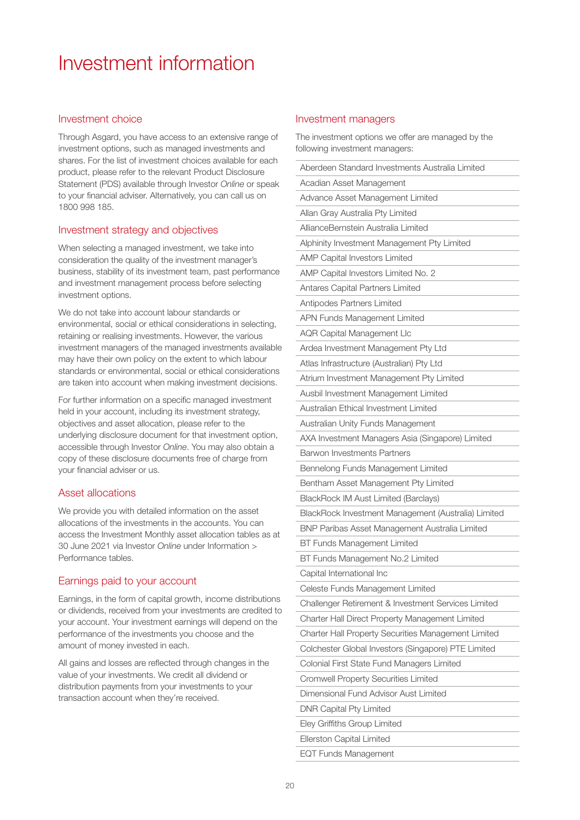# <span id="page-19-0"></span>Investment information

#### Investment choice

Through Asgard, you have access to an extensive range of investment options, such as managed investments and shares. For the list of investment choices available for each product, please refer to the relevant Product Disclosure Statement (PDS) available through Investor *Online* or speak to your financial adviser. Alternatively, you can call us on 1800 998 185.

#### Investment strategy and objectives

When selecting a managed investment, we take into consideration the quality of the investment manager's business, stability of its investment team, past performance and investment management process before selecting investment options.

We do not take into account labour standards or environmental, social or ethical considerations in selecting, retaining or realising investments. However, the various investment managers of the managed investments available may have their own policy on the extent to which labour standards or environmental, social or ethical considerations are taken into account when making investment decisions.

For further information on a specific managed investment held in your account, including its investment strategy, objectives and asset allocation, please refer to the underlying disclosure document for that investment option, accessible through Investor *Online*. You may also obtain a copy of these disclosure documents free of charge from your financial adviser or us.

#### Asset allocations

We provide you with detailed information on the asset allocations of the investments in the accounts. You can access the Investment Monthly asset allocation tables as at 30 June 2021 via Investor *Online* under Information > Performance tables.

#### Earnings paid to your account

Earnings, in the form of capital growth, income distributions or dividends, received from your investments are credited to your account. Your investment earnings will depend on the performance of the investments you choose and the amount of money invested in each.

All gains and losses are reflected through changes in the value of your investments. We credit all dividend or distribution payments from your investments to your transaction account when they're received.

#### Investment managers

The investment options we offer are managed by the following investment managers:

| Aberdeen Standard Investments Australia Limited     |
|-----------------------------------------------------|
| Acadian Asset Management                            |
| Advance Asset Management Limited                    |
| Allan Gray Australia Pty Limited                    |
| AllianceBernstein Australia Limited                 |
| Alphinity Investment Management Pty Limited         |
| <b>AMP Capital Investors Limited</b>                |
| AMP Capital Investors Limited No. 2                 |
| Antares Capital Partners Limited                    |
| Antipodes Partners Limited                          |
| APN Funds Management Limited                        |
| <b>AQR Capital Management Llc</b>                   |
| Ardea Investment Management Pty Ltd                 |
| Atlas Infrastructure (Australian) Pty Ltd           |
| Atrium Investment Management Pty Limited            |
| Ausbil Investment Management Limited                |
| Australian Ethical Investment Limited               |
| Australian Unity Funds Management                   |
| AXA Investment Managers Asia (Singapore) Limited    |
| <b>Barwon Investments Partners</b>                  |
| Bennelong Funds Management Limited                  |
| Bentham Asset Management Pty Limited                |
| <b>BlackRock IM Aust Limited (Barclays)</b>         |
| BlackRock Investment Management (Australia) Limited |
| BNP Paribas Asset Management Australia Limited      |
| BT Funds Management Limited                         |
| BT Funds Management No.2 Limited                    |
| Capital International Inc                           |
| Celeste Funds Management Limited                    |
| Challenger Retirement & Investment Services Limited |
| Charter Hall Direct Property Management Limited     |
| Charter Hall Property Securities Management Limited |
| Colchester Global Investors (Singapore) PTE Limited |
| Colonial First State Fund Managers Limited          |
| Cromwell Property Securities Limited                |
| Dimensional Fund Advisor Aust Limited               |
| <b>DNR Capital Pty Limited</b>                      |
| Eley Griffiths Group Limited                        |
| Ellerston Capital Limited                           |
|                                                     |

EQT Funds Management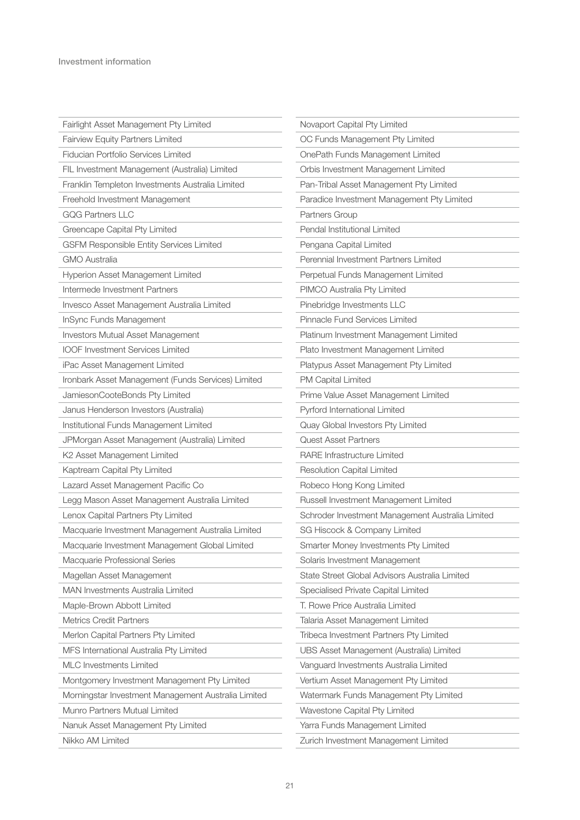| Fairlight Asset Management Pty Limited              | Novaport Capital Pty Limited                     |
|-----------------------------------------------------|--------------------------------------------------|
| <b>Fairview Equity Partners Limited</b>             | OC Funds Management Pty Limited                  |
| Fiducian Portfolio Services Limited                 | OnePath Funds Management Limited                 |
| FIL Investment Management (Australia) Limited       | Orbis Investment Management Limited              |
| Franklin Templeton Investments Australia Limited    | Pan-Tribal Asset Management Pty Limited          |
| Freehold Investment Management                      | Paradice Investment Management Pty Limited       |
| <b>GQG Partners LLC</b>                             | Partners Group                                   |
| Greencape Capital Pty Limited                       | Pendal Institutional Limited                     |
| <b>GSFM Responsible Entity Services Limited</b>     | Pengana Capital Limited                          |
| <b>GMO</b> Australia                                | Perennial Investment Partners Limited            |
| Hyperion Asset Management Limited                   | Perpetual Funds Management Limited               |
| Intermede Investment Partners                       | PIMCO Australia Pty Limited                      |
| Invesco Asset Management Australia Limited          | Pinebridge Investments LLC                       |
| InSync Funds Management                             | Pinnacle Fund Services Limited                   |
| <b>Investors Mutual Asset Management</b>            | Platinum Investment Management Limited           |
| <b>IOOF Investment Services Limited</b>             | Plato Investment Management Limited              |
| iPac Asset Management Limited                       | Platypus Asset Management Pty Limited            |
| Ironbark Asset Management (Funds Services) Limited  | PM Capital Limited                               |
| JamiesonCooteBonds Pty Limited                      | Prime Value Asset Management Limited             |
| Janus Henderson Investors (Australia)               | Pyrford International Limited                    |
| Institutional Funds Management Limited              | Quay Global Investors Pty Limited                |
| JPMorgan Asset Management (Australia) Limited       | <b>Quest Asset Partners</b>                      |
| K2 Asset Management Limited                         | <b>RARE Infrastructure Limited</b>               |
| Kaptream Capital Pty Limited                        | <b>Resolution Capital Limited</b>                |
| Lazard Asset Management Pacific Co                  | Robeco Hong Kong Limited                         |
| Legg Mason Asset Management Australia Limited       | Russell Investment Management Limited            |
| Lenox Capital Partners Pty Limited                  | Schroder Investment Management Australia Limited |
| Macquarie Investment Management Australia Limited   | SG Hiscock & Company Limited                     |
| Macquarie Investment Management Global Limited      | Smarter Money Investments Pty Limited            |
| Macquarie Professional Series                       | Solaris Investment Management                    |
| Magellan Asset Management                           | State Street Global Advisors Australia Limited   |
| MAN Investments Australia Limited                   | Specialised Private Capital Limited              |
| Maple-Brown Abbott Limited                          | T. Rowe Price Australia Limited                  |
| <b>Metrics Credit Partners</b>                      | Talaria Asset Management Limited                 |
| Merlon Capital Partners Pty Limited                 | Tribeca Investment Partners Pty Limited          |
| MFS International Australia Pty Limited             | UBS Asset Management (Australia) Limited         |
| <b>MLC Investments Limited</b>                      | Vanguard Investments Australia Limited           |
| Montgomery Investment Management Pty Limited        | Vertium Asset Management Pty Limited             |
| Morningstar Investment Management Australia Limited | Watermark Funds Management Pty Limited           |
| Munro Partners Mutual Limited                       | Wavestone Capital Pty Limited                    |
| Nanuk Asset Management Pty Limited                  | Yarra Funds Management Limited                   |
| Nikko AM Limited                                    | Zurich Investment Management Limited             |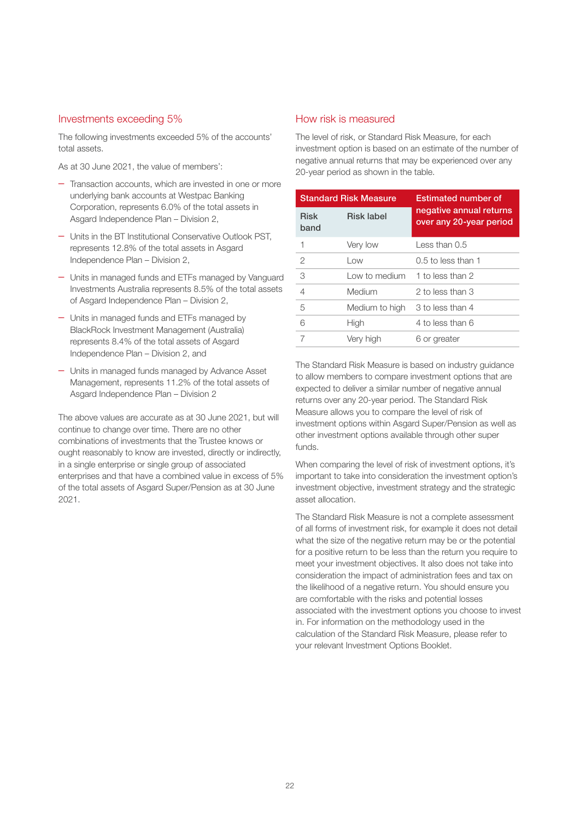#### Investments exceeding 5%

The following investments exceeded 5% of the accounts' total assets.

As at 30 June 2021, the value of members':

- Transaction accounts, which are invested in one or more underlying bank accounts at Westpac Banking Corporation, represents 6.0% of the total assets in Asgard Independence Plan – Division 2,
- Units in the BT Institutional Conservative Outlook PST, represents 12.8% of the total assets in Asgard Independence Plan – Division 2,
- Units in managed funds and ETFs managed by Vanguard Investments Australia represents 8.5% of the total assets of Asgard Independence Plan – Division 2,
- Units in managed funds and ETFs managed by BlackRock Investment Management (Australia) represents 8.4% of the total assets of Asgard Independence Plan – Division 2, and
- Units in managed funds managed by Advance Asset Management, represents 11.2% of the total assets of Asgard Independence Plan – Division 2

The above values are accurate as at 30 June 2021, but will continue to change over time. There are no other combinations of investments that the Trustee knows or ought reasonably to know are invested, directly or indirectly, in a single enterprise or single group of associated enterprises and that have a combined value in excess of 5% of the total assets of Asgard Super/Pension as at 30 June 2021.

### How risk is measured

The level of risk, or Standard Risk Measure, for each investment option is based on an estimate of the number of negative annual returns that may be experienced over any 20-year period as shown in the table.

| <b>Standard Risk Measure</b> |                   | <b>Estimated number of</b>                         |
|------------------------------|-------------------|----------------------------------------------------|
| <b>Risk</b><br>band          | <b>Risk label</b> | negative annual returns<br>over any 20-year period |
| 1                            | Very low          | $\overline{1}$ ess than 0.5                        |
| $\overline{2}$               | l ow              | $0.5$ to less than 1                               |
| 3                            | Low to medium     | 1 to less than 2                                   |
| $\overline{4}$               | Medium            | 2 to less than 3                                   |
| 5                            | Medium to high    | 3 to less than 4                                   |
| 6                            | High              | 4 to less than 6                                   |
| 7                            | Very high         | 6 or greater                                       |

The Standard Risk Measure is based on industry guidance to allow members to compare investment options that are expected to deliver a similar number of negative annual returns over any 20-year period. The Standard Risk Measure allows you to compare the level of risk of investment options within Asgard Super/Pension as well as other investment options available through other super funds.

When comparing the level of risk of investment options, it's important to take into consideration the investment option's investment objective, investment strategy and the strategic asset allocation.

The Standard Risk Measure is not a complete assessment of all forms of investment risk, for example it does not detail what the size of the negative return may be or the potential for a positive return to be less than the return you require to meet your investment objectives. It also does not take into consideration the impact of administration fees and tax on the likelihood of a negative return. You should ensure you are comfortable with the risks and potential losses associated with the investment options you choose to invest in. For information on the methodology used in the calculation of the Standard Risk Measure, please refer to your relevant Investment Options Booklet.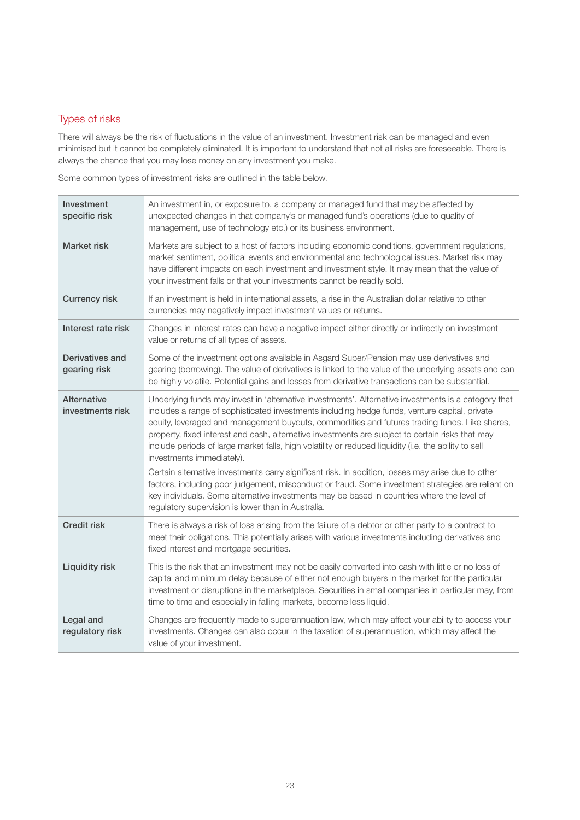# Types of risks

There will always be the risk of fluctuations in the value of an investment. Investment risk can be managed and even minimised but it cannot be completely eliminated. It is important to understand that not all risks are foreseeable. There is always the chance that you may lose money on any investment you make.

Some common types of investment risks are outlined in the table below.

| Investment<br>specific risk            | An investment in, or exposure to, a company or managed fund that may be affected by<br>unexpected changes in that company's or managed fund's operations (due to quality of<br>management, use of technology etc.) or its business environment.                                                                                                                                                                                                                                                                                                  |
|----------------------------------------|--------------------------------------------------------------------------------------------------------------------------------------------------------------------------------------------------------------------------------------------------------------------------------------------------------------------------------------------------------------------------------------------------------------------------------------------------------------------------------------------------------------------------------------------------|
| Market risk                            | Markets are subject to a host of factors including economic conditions, government regulations,<br>market sentiment, political events and environmental and technological issues. Market risk may<br>have different impacts on each investment and investment style. It may mean that the value of<br>your investment falls or that your investments cannot be readily sold.                                                                                                                                                                     |
| <b>Currency risk</b>                   | If an investment is held in international assets, a rise in the Australian dollar relative to other<br>currencies may negatively impact investment values or returns.                                                                                                                                                                                                                                                                                                                                                                            |
| Interest rate risk                     | Changes in interest rates can have a negative impact either directly or indirectly on investment<br>value or returns of all types of assets.                                                                                                                                                                                                                                                                                                                                                                                                     |
| Derivatives and<br>gearing risk        | Some of the investment options available in Asgard Super/Pension may use derivatives and<br>gearing (borrowing). The value of derivatives is linked to the value of the underlying assets and can<br>be highly volatile. Potential gains and losses from derivative transactions can be substantial.                                                                                                                                                                                                                                             |
| <b>Alternative</b><br>investments risk | Underlying funds may invest in 'alternative investments'. Alternative investments is a category that<br>includes a range of sophisticated investments including hedge funds, venture capital, private<br>equity, leveraged and management buyouts, commodities and futures trading funds. Like shares,<br>property, fixed interest and cash, alternative investments are subject to certain risks that may<br>include periods of large market falls, high volatility or reduced liquidity (i.e. the ability to sell<br>investments immediately). |
|                                        | Certain alternative investments carry significant risk. In addition, losses may arise due to other<br>factors, including poor judgement, misconduct or fraud. Some investment strategies are reliant on<br>key individuals. Some alternative investments may be based in countries where the level of<br>regulatory supervision is lower than in Australia.                                                                                                                                                                                      |
| <b>Credit risk</b>                     | There is always a risk of loss arising from the failure of a debtor or other party to a contract to<br>meet their obligations. This potentially arises with various investments including derivatives and<br>fixed interest and mortgage securities.                                                                                                                                                                                                                                                                                             |
| <b>Liquidity risk</b>                  | This is the risk that an investment may not be easily converted into cash with little or no loss of<br>capital and minimum delay because of either not enough buyers in the market for the particular<br>investment or disruptions in the marketplace. Securities in small companies in particular may, from<br>time to time and especially in falling markets, become less liquid.                                                                                                                                                              |
| Legal and<br>regulatory risk           | Changes are frequently made to superannuation law, which may affect your ability to access your<br>investments. Changes can also occur in the taxation of superannuation, which may affect the<br>value of your investment.                                                                                                                                                                                                                                                                                                                      |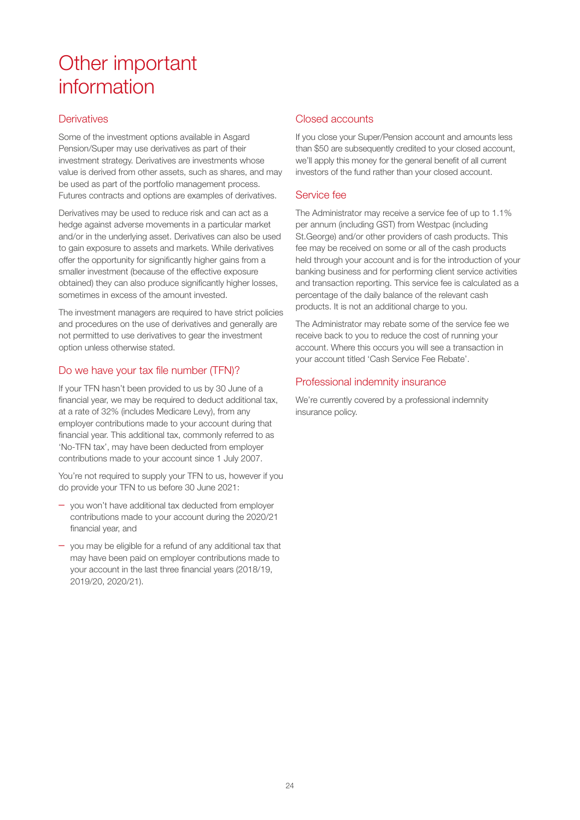# Other important information

# **Derivatives**

Some of the investment options available in Asgard Pension/Super may use derivatives as part of their investment strategy. Derivatives are investments whose value is derived from other assets, such as shares, and may be used as part of the portfolio management process. Futures contracts and options are examples of derivatives.

Derivatives may be used to reduce risk and can act as a hedge against adverse movements in a particular market and/or in the underlying asset. Derivatives can also be used to gain exposure to assets and markets. While derivatives offer the opportunity for significantly higher gains from a smaller investment (because of the effective exposure obtained) they can also produce significantly higher losses, sometimes in excess of the amount invested.

The investment managers are required to have strict policies and procedures on the use of derivatives and generally are not permitted to use derivatives to gear the investment option unless otherwise stated.

# Do we have your tax file number (TFN)?

If your TFN hasn't been provided to us by 30 June of a financial year, we may be required to deduct additional tax, at a rate of 32% (includes Medicare Levy), from any employer contributions made to your account during that financial year. This additional tax, commonly referred to as 'No-TFN tax', may have been deducted from employer contributions made to your account since 1 July 2007.

You're not required to supply your TFN to us, however if you do provide your TFN to us before 30 June 2021:

- you won't have additional tax deducted from employer contributions made to your account during the 2020/21 financial year, and
- you may be eligible for a refund of any additional tax that may have been paid on employer contributions made to your account in the last three financial years (2018/19, 2019/20, 2020/21).

# Closed accounts

If you close your Super/Pension account and amounts less than \$50 are subsequently credited to your closed account, we'll apply this money for the general benefit of all current investors of the fund rather than your closed account.

# Service fee

The Administrator may receive a service fee of up to 1.1% per annum (including GST) from Westpac (including St.George) and/or other providers of cash products. This fee may be received on some or all of the cash products held through your account and is for the introduction of your banking business and for performing client service activities and transaction reporting. This service fee is calculated as a percentage of the daily balance of the relevant cash products. It is not an additional charge to you.

The Administrator may rebate some of the service fee we receive back to you to reduce the cost of running your account. Where this occurs you will see a transaction in your account titled 'Cash Service Fee Rebate'.

# Professional indemnity insurance

We're currently covered by a professional indemnity insurance policy.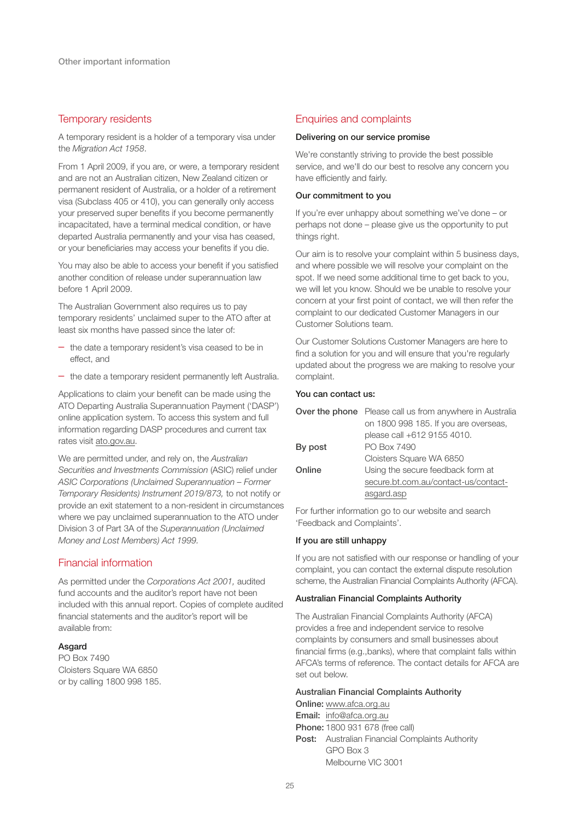### Temporary residents

A temporary resident is a holder of a temporary visa under the *Migration Act 1958*.

From 1 April 2009, if you are, or were, a temporary resident and are not an Australian citizen, New Zealand citizen or permanent resident of Australia, or a holder of a retirement visa (Subclass 405 or 410), you can generally only access your preserved super benefits if you become permanently incapacitated, have a terminal medical condition, or have departed Australia permanently and your visa has ceased, or your beneficiaries may access your benefits if you die.

You may also be able to access your benefit if you satisfied another condition of release under superannuation law before 1 April 2009.

The Australian Government also requires us to pay temporary residents' unclaimed super to the ATO after at least six months have passed since the later of:

- the date a temporary resident's visa ceased to be in effect, and
- the date a temporary resident permanently left Australia.

Applications to claim your benefit can be made using the ATO Departing Australia Superannuation Payment ('DASP') online application system. To access this system and full information regarding DASP procedures and current tax rates visit [ato.gov.au](http://ato.gov.au).

We are permitted under, and rely on, the *Australian Securities and Investments Commission* (ASIC) relief under *ASIC Corporations (Unclaimed Superannuation – Former Temporary Residents) Instrument 2019/873,* to not notify or provide an exit statement to a non-resident in circumstances where we pay unclaimed superannuation to the ATO under Division 3 of Part 3A of the *Superannuation (Unclaimed Money and Lost Members) Act 1999.*

#### Financial information

As permitted under the *Corporations Act 2001,* audited fund accounts and the auditor's report have not been included with this annual report. Copies of complete audited financial statements and the auditor's report will be available from:

#### **Asgard**

PO Box 7490 Cloisters Square WA 6850 or by calling 1800 998 185.

### Enquiries and complaints

#### Delivering on our service promise

We're constantly striving to provide the best possible service, and we'll do our best to resolve any concern you have efficiently and fairly.

#### Our commitment to you

If you're ever unhappy about something we've done – or perhaps not done – please give us the opportunity to put things right.

Our aim is to resolve your complaint within 5 business days, and where possible we will resolve your complaint on the spot. If we need some additional time to get back to you, we will let you know. Should we be unable to resolve your concern at your first point of contact, we will then refer the complaint to our dedicated Customer Managers in our Customer Solutions team.

Our Customer Solutions Customer Managers are here to find a solution for you and will ensure that you're regularly updated about the progress we are making to resolve your complaint.

#### You can contact us:

|         | <b>Over the phone</b> Please call us from anywhere in Australia |  |  |
|---------|-----------------------------------------------------------------|--|--|
|         | on 1800 998 185. If you are overseas,                           |  |  |
|         | please call +612 9155 4010.                                     |  |  |
| By post | PO Box 7490                                                     |  |  |
|         | Cloisters Square WA 6850                                        |  |  |
| Online  | Using the secure feedback form at                               |  |  |
|         | secure.bt.com.au/contact-us/contact-                            |  |  |
|         | asgard.asp                                                      |  |  |

For further information go to our website and search 'Feedback and Complaints'.

#### If you are still unhappy

If you are not satisfied with our response or handling of your complaint, you can contact the external dispute resolution scheme, the Australian Financial Complaints Authority (AFCA).

#### Australian Financial Complaints Authority

The Australian Financial Complaints Authority (AFCA) provides a free and independent service to resolve complaints by consumers and small businesses about financial firms (e.g.,banks), where that complaint falls within AFCA's terms of reference. The contact details for AFCA are set out below.

#### Australian Financial Complaints Authority

Online: [www.afca.org.au](http://www.afca.org.au) Email: [info@afca.org.au](mailto:info%40afca.org.au?subject=) Phone: 1800 931 678 (free call) Post: Australian Financial Complaints Authority GPO Box 3 Melbourne VIC 3001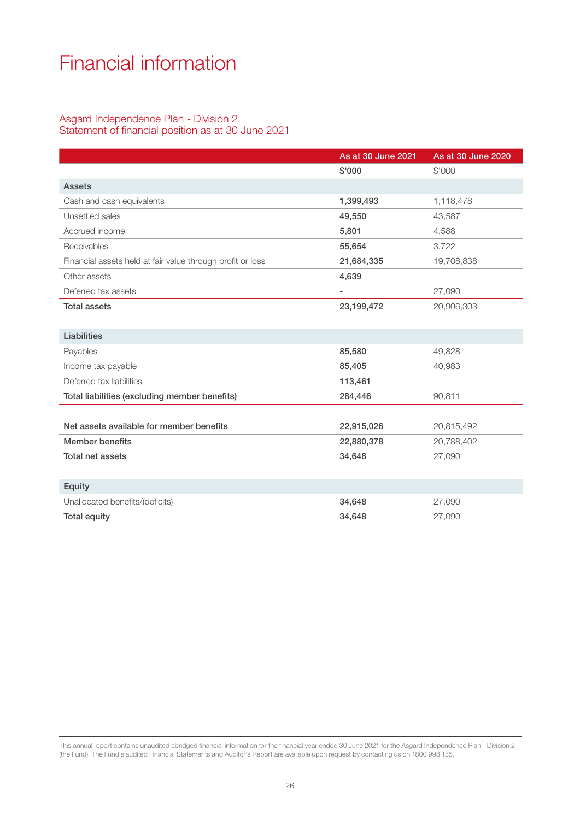# Financial information

# Asgard Independence Plan - Division 2

Statement of financial position as at 30 June 2021

|                                                            | As at 30 June 2021 | As at 30 June 2020       |
|------------------------------------------------------------|--------------------|--------------------------|
|                                                            | \$'000             | \$'000                   |
| <b>Assets</b>                                              |                    |                          |
| Cash and cash equivalents                                  | 1,399,493          | 1,118,478                |
| Unsettled sales                                            | 49,550             | 43,587                   |
| Accrued income                                             | 5,801              | 4,588                    |
| Receivables                                                | 55,654             | 3,722                    |
| Financial assets held at fair value through profit or loss | 21,684,335         | 19,708,838               |
| Other assets                                               | 4,639              | $\overline{\phantom{a}}$ |
| Deferred tax assets                                        | ۰                  | 27,090                   |
| <b>Total assets</b>                                        | 23,199,472         | 20,906,303               |
|                                                            |                    |                          |
| <b>Liabilities</b>                                         |                    |                          |
| Payables                                                   | 85,580             | 49,828                   |
| Income tax payable                                         | 85,405             | 40,983                   |
| Deferred tax liabilities                                   | 113,461            | $\overline{\phantom{a}}$ |
| Total liabilities (excluding member benefits)              | 284,446            | 90,811                   |
|                                                            |                    |                          |
| Net assets available for member benefits                   | 22,915,026         | 20,815,492               |
| <b>Member benefits</b>                                     | 22,880,378         | 20,788,402               |
| <b>Total net assets</b>                                    | 34,648             | 27,090                   |
|                                                            |                    |                          |
| Equity                                                     |                    |                          |
| Unallocated benefits/(deficits)                            | 34,648             | 27,090                   |
| <b>Total equity</b>                                        | 34,648             | 27,090                   |

This annual report contains unaudited abridged financial information for the financial year ended 30 June 2021 for the Asgard Independence Plan - Division 2 (the Fund). The Fund's audited Financial Statements and Auditor's Report are available upon request by contacting us on 1800 998 185.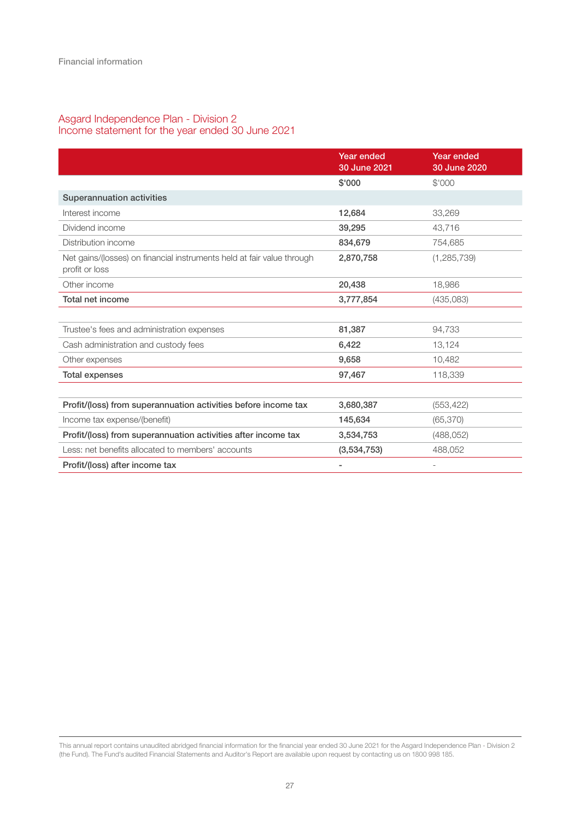### Asgard Independence Plan - Division 2 Income statement for the year ended 30 June 2021

|                                                                                          | Year ended<br>30 June 2021 | <b>Year ended</b><br>30 June 2020 |
|------------------------------------------------------------------------------------------|----------------------------|-----------------------------------|
|                                                                                          | \$'000                     | \$'000                            |
| <b>Superannuation activities</b>                                                         |                            |                                   |
| Interest income                                                                          | 12,684                     | 33,269                            |
| Dividend income                                                                          | 39,295                     | 43,716                            |
| Distribution income                                                                      | 834,679                    | 754,685                           |
| Net gains/(losses) on financial instruments held at fair value through<br>profit or loss | 2,870,758                  | (1,285,739)                       |
| Other income                                                                             | 20,438                     | 18,986                            |
| Total net income                                                                         | 3,777,854                  | (435,083)                         |
|                                                                                          |                            |                                   |
| Trustee's fees and administration expenses                                               | 81,387                     | 94,733                            |
| Cash administration and custody fees                                                     | 6,422                      | 13,124                            |
| Other expenses                                                                           | 9,658                      | 10,482                            |
| <b>Total expenses</b>                                                                    | 97,467                     | 118.339                           |
|                                                                                          |                            |                                   |
| Profit/(loss) from superannuation activities before income tax                           | 3,680,387                  | (553, 422)                        |
| Income tax expense/(benefit)                                                             | 145,634                    | (65, 370)                         |
| Profit/(loss) from superannuation activities after income tax                            | 3,534,753                  | (488, 052)                        |
| Less: net benefits allocated to members' accounts                                        | (3,534,753)                | 488,052                           |
| Profit/(loss) after income tax                                                           |                            | $\overline{\phantom{a}}$          |

This annual report contains unaudited abridged financial information for the financial year ended 30 June 2021 for the Asgard Independence Plan - Division 2 (the Fund). The Fund's audited Financial Statements and Auditor's Report are available upon request by contacting us on 1800 998 185.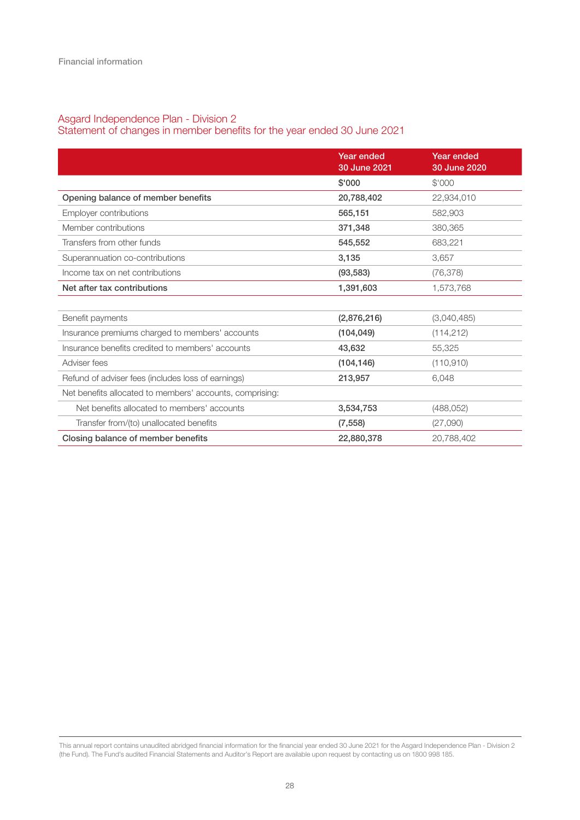# Asgard Independence Plan - Division 2

Statement of changes in member benefits for the year ended 30 June 2021

|                                                          | Year ended<br>30 June 2021 | Year ended<br>30 June 2020 |
|----------------------------------------------------------|----------------------------|----------------------------|
|                                                          | \$'000                     | \$'000                     |
| Opening balance of member benefits                       | 20,788,402                 | 22,934,010                 |
| Employer contributions                                   | 565,151                    | 582,903                    |
| Member contributions                                     | 371,348                    | 380.365                    |
| Transfers from other funds                               | 545,552                    | 683,221                    |
| Superannuation co-contributions                          | 3,135                      | 3,657                      |
| Income tax on net contributions                          | (93, 583)                  | (76, 378)                  |
| Net after tax contributions                              | 1,391,603                  | 1,573,768                  |
|                                                          |                            |                            |
| Benefit payments                                         | (2,876,216)                | (3,040,485)                |
| Insurance premiums charged to members' accounts          | (104, 049)                 | (114, 212)                 |
| Insurance benefits credited to members' accounts         | 43,632                     | 55,325                     |
| Adviser fees                                             | (104, 146)                 | (110, 910)                 |
| Refund of adviser fees (includes loss of earnings)       | 213,957                    | 6.048                      |
| Net benefits allocated to members' accounts, comprising: |                            |                            |
| Net benefits allocated to members' accounts              | 3,534,753                  | (488, 052)                 |
| Transfer from/(to) unallocated benefits                  | (7, 558)                   | (27,090)                   |
| Closing balance of member benefits                       | 22,880,378                 | 20,788,402                 |

This annual report contains unaudited abridged financial information for the financial year ended 30 June 2021 for the Asgard Independence Plan - Division 2 (the Fund). The Fund's audited Financial Statements and Auditor's Report are available upon request by contacting us on 1800 998 185.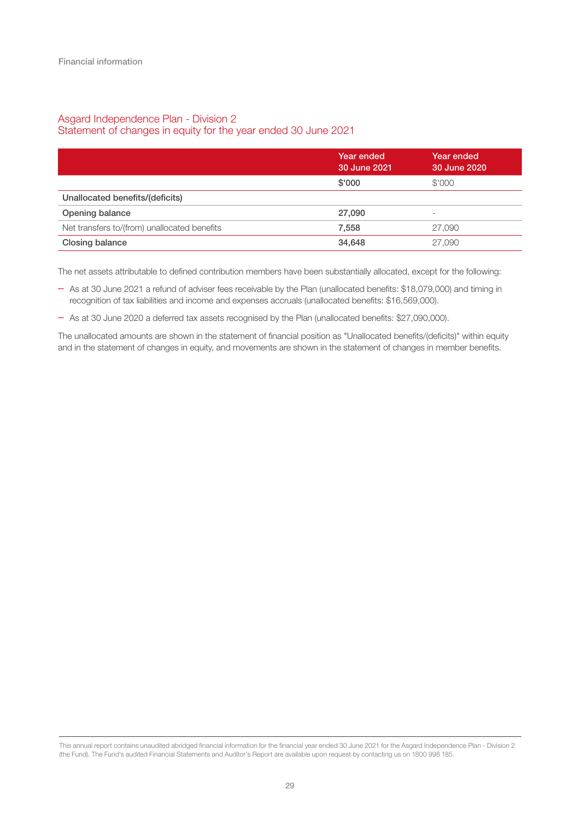#### Asgard Independence Plan - Division 2 Statement of changes in equity for the year ended 30 June 2021

|                                              | Year ended<br>30 June 2021 | <b>Year ended</b><br>30 June 2020 |
|----------------------------------------------|----------------------------|-----------------------------------|
|                                              | \$'000                     | \$'000                            |
| Unallocated benefits/(deficits)              |                            |                                   |
| Opening balance                              | 27,090                     | $\overline{\phantom{0}}$          |
| Net transfers to/(from) unallocated benefits | 7,558                      | 27,090                            |
| <b>Closing balance</b>                       | 34.648                     | 27,090                            |

The net assets attributable to defined contribution members have been substantially allocated, except for the following:

- As at 30 June 2021 a refund of adviser fees receivable by the Plan (unallocated benefits: \$18,079,000) and timing in recognition of tax liabilities and income and expenses accruals (unallocated benefits: \$16,569,000).
- As at 30 June 2020 a deferred tax assets recognised by the Plan (unallocated benefits: \$27,090,000).

The unallocated amounts are shown in the statement of financial position as "Unallocated benefits/(deficits)" within equity and in the statement of changes in equity, and movements are shown in the statement of changes in member benefits.

This annual report contains unaudited abridged financial information for the financial year ended 30 June 2021 for the Asgard Independence Plan - Division 2 (the Fund). The Fund's audited Financial Statements and Auditor's Report are available upon request by contacting us on 1800 998 185.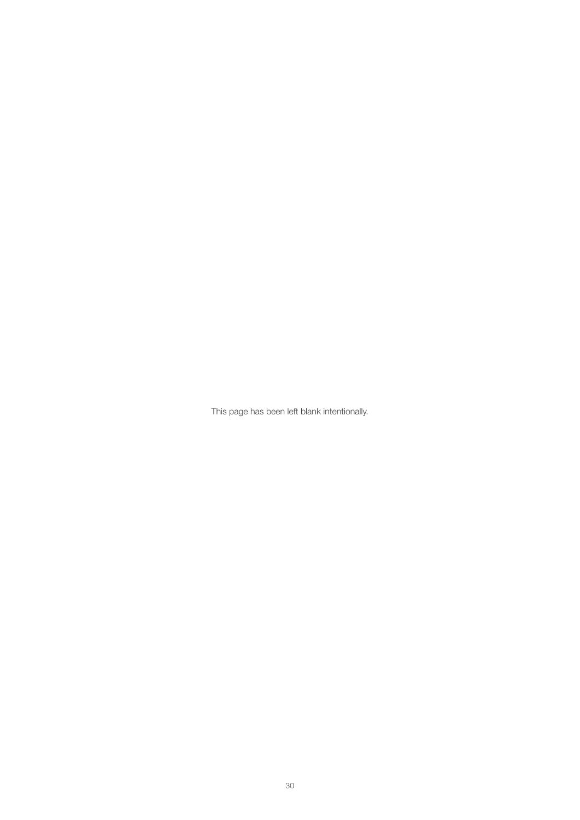This page has been left blank intentionally.